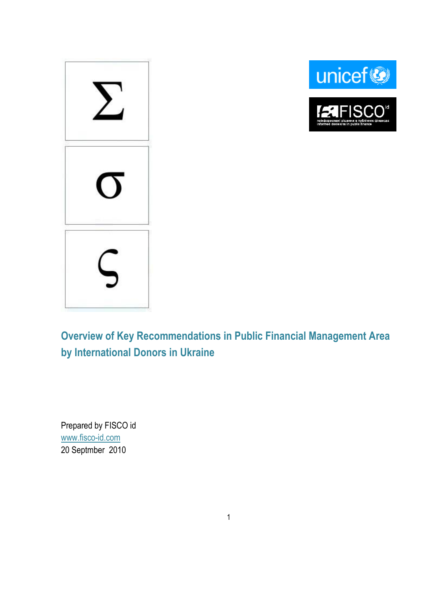





**Overview of Key Recommendations in Public Financial Management Area by International Donors in Ukraine**

Prepared by FISCO id [www.fisco-id.com](http://www.fisco-id.com/) 20 Septmber 2010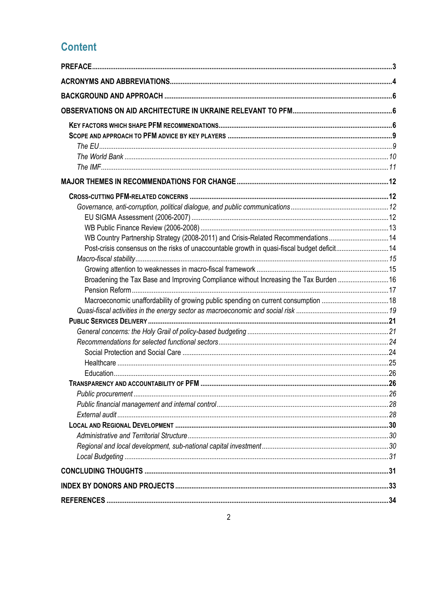# **Content**

| WB Country Partnership Strategy (2008-2011) and Crisis-Related Recommendations14            |  |
|---------------------------------------------------------------------------------------------|--|
| Post-crisis consensus on the risks of unaccountable growth in quasi-fiscal budget deficit14 |  |
|                                                                                             |  |
|                                                                                             |  |
| Broadening the Tax Base and Improving Compliance without Increasing the Tax Burden 16       |  |
|                                                                                             |  |
| Macroeconomic unaffordability of growing public spending on current consumption 18          |  |
|                                                                                             |  |
|                                                                                             |  |
|                                                                                             |  |
|                                                                                             |  |
|                                                                                             |  |
|                                                                                             |  |
|                                                                                             |  |
|                                                                                             |  |
|                                                                                             |  |
|                                                                                             |  |
|                                                                                             |  |
|                                                                                             |  |
|                                                                                             |  |
|                                                                                             |  |
|                                                                                             |  |
|                                                                                             |  |
|                                                                                             |  |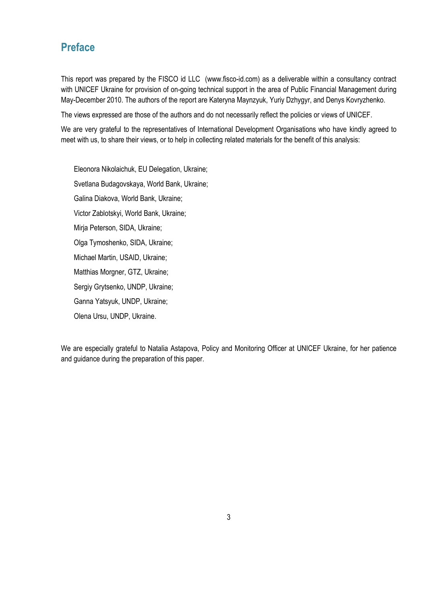# <span id="page-2-0"></span>**Preface**

This report was prepared by the FISCO id LLC (www.fisco-id.com) as a deliverable within a consultancy contract with UNICEF Ukraine for provision of on-going technical support in the area of Public Financial Management during May-December 2010. The authors of the report are Kateryna Maynzyuk, Yuriy Dzhygyr, and Denys Kovryzhenko.

The views expressed are those of the authors and do not necessarily reflect the policies or views of UNICEF.

We are very grateful to the representatives of International Development Organisations who have kindly agreed to meet with us, to share their views, or to help in collecting related materials for the benefit of this analysis:

Eleonora Nikolaichuk, EU Delegation, Ukraine; Svetlana Budagovskaya, World Bank, Ukraine; Galina Diakova, World Bank, Ukraine; Victor Zablotskyi, World Bank, Ukraine; Mirja Peterson, SIDA, Ukraine; Olga Tymoshenko, SIDA, Ukraine; Michael Martin, USAID, Ukraine; Matthias Morgner, GTZ, Ukraine; Sergiy Grytsenko, UNDP, Ukraine; Ganna Yatsyuk, UNDP, Ukraine; Olena Ursu, UNDP, Ukraine.

We are especially grateful to Natalia Astapova, Policy and Monitoring Officer at UNICEF Ukraine, for her patience and guidance during the preparation of this paper.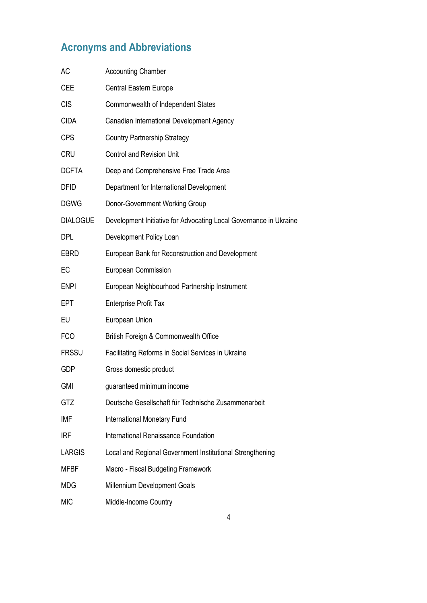# <span id="page-3-0"></span>**Acronyms and Abbreviations**

| AC              | <b>Accounting Chamber</b>                                         |
|-----------------|-------------------------------------------------------------------|
| <b>CEE</b>      | Central Eastern Europe                                            |
| <b>CIS</b>      | Commonwealth of Independent States                                |
| <b>CIDA</b>     | Canadian International Development Agency                         |
| <b>CPS</b>      | <b>Country Partnership Strategy</b>                               |
| <b>CRU</b>      | <b>Control and Revision Unit</b>                                  |
| <b>DCFTA</b>    | Deep and Comprehensive Free Trade Area                            |
| <b>DFID</b>     | Department for International Development                          |
| <b>DGWG</b>     | Donor-Government Working Group                                    |
| <b>DIALOGUE</b> | Development Initiative for Advocating Local Governance in Ukraine |
| DPL             | Development Policy Loan                                           |
| <b>EBRD</b>     | European Bank for Reconstruction and Development                  |
| EC              | European Commission                                               |
| <b>ENPI</b>     | European Neighbourhood Partnership Instrument                     |
| <b>EPT</b>      | <b>Enterprise Profit Tax</b>                                      |
| EU              | European Union                                                    |
| <b>FCO</b>      | British Foreign & Commonwealth Office                             |
| <b>FRSSU</b>    | Facilitating Reforms in Social Services in Ukraine                |
| <b>GDP</b>      | Gross domestic product                                            |
| <b>GMI</b>      | guaranteed minimum income                                         |
| GTZ             | Deutsche Gesellschaft für Technische Zusammenarbeit               |
| IMF             | <b>International Monetary Fund</b>                                |
| <b>IRF</b>      | International Renaissance Foundation                              |
| <b>LARGIS</b>   | Local and Regional Government Institutional Strengthening         |
| <b>MFBF</b>     | Macro - Fiscal Budgeting Framework                                |
| <b>MDG</b>      | Millennium Development Goals                                      |
| <b>MIC</b>      | Middle-Income Country                                             |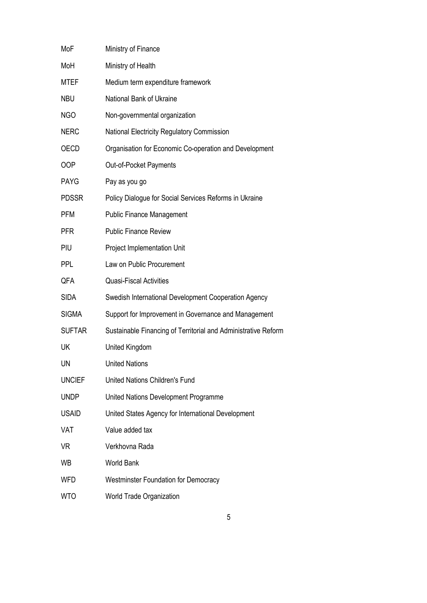| MoF           | Ministry of Finance                                            |
|---------------|----------------------------------------------------------------|
| MoH           | Ministry of Health                                             |
| <b>MTEF</b>   | Medium term expenditure framework                              |
| <b>NBU</b>    | National Bank of Ukraine                                       |
| <b>NGO</b>    | Non-governmental organization                                  |
| <b>NERC</b>   | National Electricity Regulatory Commission                     |
| <b>OECD</b>   | Organisation for Economic Co-operation and Development         |
| OOP           | Out-of-Pocket Payments                                         |
| <b>PAYG</b>   | Pay as you go                                                  |
| <b>PDSSR</b>  | Policy Dialogue for Social Services Reforms in Ukraine         |
| <b>PFM</b>    | <b>Public Finance Management</b>                               |
| <b>PFR</b>    | <b>Public Finance Review</b>                                   |
| PIU           | Project Implementation Unit                                    |
| <b>PPL</b>    | Law on Public Procurement                                      |
| QFA           | <b>Quasi-Fiscal Activities</b>                                 |
| <b>SIDA</b>   | Swedish International Development Cooperation Agency           |
| <b>SIGMA</b>  | Support for Improvement in Governance and Management           |
| <b>SUFTAR</b> | Sustainable Financing of Territorial and Administrative Reform |
| UK            | United Kingdom                                                 |
| UN            | <b>United Nations</b>                                          |
| <b>UNCIEF</b> | <b>United Nations Children's Fund</b>                          |
| <b>UNDP</b>   | United Nations Development Programme                           |
| <b>USAID</b>  | United States Agency for International Development             |
| VAT           | Value added tax                                                |
| VR            | Verkhovna Rada                                                 |
| WB            | <b>World Bank</b>                                              |
| <b>WFD</b>    | <b>Westminster Foundation for Democracy</b>                    |
| <b>WTO</b>    | World Trade Organization                                       |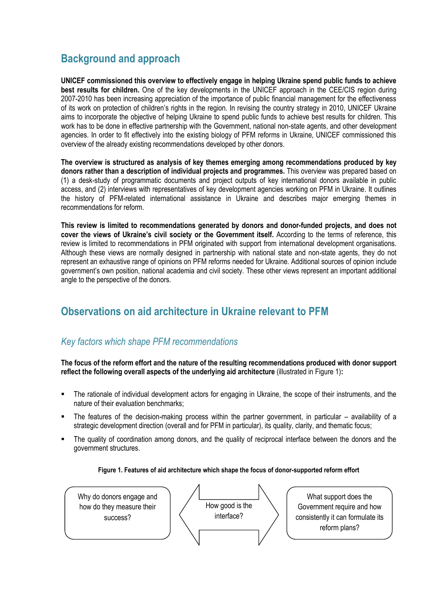# <span id="page-5-0"></span>**Background and approach**

**UNICEF commissioned this overview to effectively engage in helping Ukraine spend public funds to achieve best results for children.** One of the key developments in the UNICEF approach in the CEE/CIS region during 2007-2010 has been increasing appreciation of the importance of public financial management for the effectiveness of its work on protection of children's rights in the region. In revising the country strategy in 2010, UNICEF Ukraine aims to incorporate the objective of helping Ukraine to spend public funds to achieve best results for children. This work has to be done in effective partnership with the Government, national non-state agents, and other development agencies. In order to fit effectively into the existing biology of PFM reforms in Ukraine, UNICEF commissioned this overview of the already existing recommendations developed by other donors.

**The overview is structured as analysis of key themes emerging among recommendations produced by key donors rather than a description of individual projects and programmes.** This overview was prepared based on (1) a desk-study of programmatic documents and project outputs of key international donors available in public access, and (2) interviews with representatives of key development agencies working on PFM in Ukraine. It outlines the history of PFM-related international assistance in Ukraine and describes major emerging themes in recommendations for reform.

**This review is limited to recommendations generated by donors and donor-funded projects, and does not cover the views of Ukraine's civil society or the Government itself.** According to the terms of reference, this review is limited to recommendations in PFM originated with support from international development organisations. Although these views are normally designed in partnership with national state and non-state agents, they do not represent an exhaustive range of opinions on PFM reforms needed for Ukraine. Additional sources of opinion include government's own position, national academia and civil society. These other views represent an important additional angle to the perspective of the donors.

# <span id="page-5-1"></span>**Observations on aid architecture in Ukraine relevant to PFM**

### <span id="page-5-2"></span>*Key factors which shape PFM recommendations*

**The focus of the reform effort and the nature of the resulting recommendations produced with donor support reflect the following overall aspects of the underlying aid architecture** (illustrated in Figure 1)**:**

- The rationale of individual development actors for engaging in Ukraine, the scope of their instruments, and the nature of their evaluation benchmarks;
- The features of the decision-making process within the partner government, in particular availability of a strategic development direction (overall and for PFM in particular), its quality, clarity, and thematic focus;
- The quality of coordination among donors, and the quality of reciprocal interface between the donors and the government structures.

#### **Figure 1. Features of aid architecture which shape the focus of donor-supported reform effort**

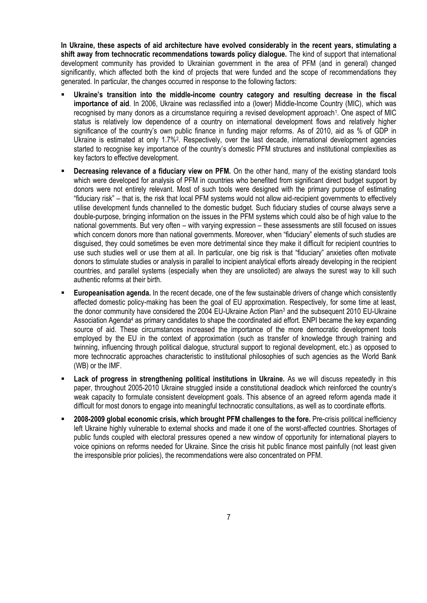**In Ukraine, these aspects of aid architecture have evolved considerably in the recent years, stimulating a shift away from technocratic recommendations towards policy dialogue.** The kind of support that international development community has provided to Ukrainian government in the area of PFM (and in general) changed significantly, which affected both the kind of projects that were funded and the scope of recommendations they generated. In particular, the changes occurred in response to the following factors:

- **Ukraine's transition into the middle-income country category and resulting decrease in the fiscal importance of aid**. In 2006, Ukraine was reclassified into a (lower) Middle-Income Country (MIC), which was recognised by many donors as a circumstance requiring a revised development approach<sup>1</sup>. One aspect of MIC status is relatively low dependence of a country on international development flows and relatively higher significance of the country's own public finance in funding major reforms. As of 2010, aid as % of GDP in Ukraine is estimated at only 1.7%<sup>2</sup>. Respectively, over the last decade, international development agencies started to recognise key importance of the country's domestic PFM structures and institutional complexities as key factors to effective development.
- **Decreasing relevance of a fiduciary view on PFM.** On the other hand, many of the existing standard tools which were developed for analysis of PFM in countries who benefited from significant direct budget support by donors were not entirely relevant. Most of such tools were designed with the primary purpose of estimating "fiduciary risk" – that is, the risk that local PFM systems would not allow aid-recipient governments to effectively utilise development funds channelled to the domestic budget. Such fiduciary studies of course always serve a double-purpose, bringing information on the issues in the PFM systems which could also be of high value to the national governments. But very often – with varying expression – these assessments are still focused on issues which concern donors more than national governments. Moreover, when "fiduciary" elements of such studies are disguised, they could sometimes be even more detrimental since they make it difficult for recipient countries to use such studies well or use them at all. In particular, one big risk is that "fiduciary" anxieties often motivate donors to stimulate studies or analysis in parallel to incipient analytical efforts already developing in the recipient countries, and parallel systems (especially when they are unsolicited) are always the surest way to kill such authentic reforms at their birth.
- **Europeanisation agenda.** In the recent decade, one of the few sustainable drivers of change which consistently affected domestic policy-making has been the goal of EU approximation. Respectively, for some time at least, the donor community have considered the 2004 EU-Ukraine Action Plan<sup>3</sup> and the subsequent 2010 EU-Ukraine Association Agenda<sup>4</sup> as primary candidates to shape the coordinated aid effort. ENPI became the key expanding source of aid. These circumstances increased the importance of the more democratic development tools employed by the EU in the context of approximation (such as transfer of knowledge through training and twinning, influencing through political dialogue, structural support to regional development, etc.) as opposed to more technocratic approaches characteristic to institutional philosophies of such agencies as the World Bank (WB) or the IMF.
- Lack of progress in strengthening political institutions in Ukraine. As we will discuss repeatedly in this paper, throughout 2005-2010 Ukraine struggled inside a constitutional deadlock which reinforced the country's weak capacity to formulate consistent development goals. This absence of an agreed reform agenda made it difficult for most donors to engage into meaningful technocratic consultations, as well as to coordinate efforts.
- **2008-2009 global economic crisis, which brought PFM challenges to the fore.** Pre-crisis political inefficiency left Ukraine highly vulnerable to external shocks and made it one of the worst-affected countries. Shortages of public funds coupled with electoral pressures opened a new window of opportunity for international players to voice opinions on reforms needed for Ukraine. Since the crisis hit public finance most painfully (not least given the irresponsible prior policies), the recommendations were also concentrated on PFM.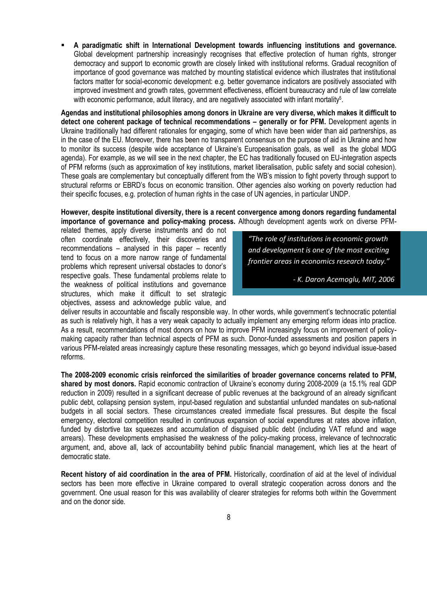**A paradigmatic shift in International Development towards influencing institutions and governance.**  Global development partnership increasingly recognises that effective protection of human rights, stronger democracy and support to economic growth are closely linked with institutional reforms. Gradual recognition of importance of good governance was matched by mounting statistical evidence which illustrates that institutional factors matter for social-economic development: e.g. better governance indicators are positively associated with improved investment and growth rates, government effectiveness, efficient bureaucracy and rule of law correlate with economic performance, adult literacy, and are negatively associated with infant mortality<sup>5</sup>.

**Agendas and institutional philosophies among donors in Ukraine are very diverse, which makes it difficult to detect one coherent package of technical recommendations – generally or for PFM.** Development agents in Ukraine traditionally had different rationales for engaging, some of which have been wider than aid partnerships, as in the case of the EU. Moreover, there has been no transparent consensus on the purpose of aid in Ukraine and how to monitor its success (despite wide acceptance of Ukraine's Europeanisation goals, as well as the global MDG agenda). For example, as we will see in the next chapter, the EC has traditionally focused on EU-integration aspects of PFM reforms (such as approximation of key institutions, market liberalisation, public safety and social cohesion). These goals are complementary but conceptually different from the WB's mission to fight poverty through support to structural reforms or EBRD's focus on economic transition. Other agencies also working on poverty reduction had their specific focuses, e.g. protection of human rights in the case of UN agencies, in particular UNDP.

#### **However, despite institutional diversity, there is a recent convergence among donors regarding fundamental importance of governance and policy-making process.** Although development agents work on diverse PFM-

related themes, apply diverse instruments and do not often coordinate effectively, their discoveries and recommendations – analysed in this paper – recently tend to focus on a more narrow range of fundamental problems which represent universal obstacles to donor's respective goals. These fundamental problems relate to the weakness of political institutions and governance structures, which make it difficult to set strategic objectives, assess and acknowledge public value, and

*"The role of institutions in economic growth and development is one of the most exciting frontier areas in economics research today."*

*- K. Daron Acemoglu, MIT, 2006*

deliver results in accountable and fiscally responsible way. In other words, while government's technocratic potential as such is relatively high, it has a very weak capacity to actually implement any emerging reform ideas into practice. As a result, recommendations of most donors on how to improve PFM increasingly focus on improvement of policymaking capacity rather than technical aspects of PFM as such. Donor-funded assessments and position papers in various PFM-related areas increasingly capture these resonating messages, which go beyond individual issue-based reforms.

**The 2008-2009 economic crisis reinforced the similarities of broader governance concerns related to PFM, shared by most donors.** Rapid economic contraction of Ukraine's economy during 2008-2009 (a 15.1% real GDP reduction in 2009) resulted in a significant decrease of public revenues at the background of an already significant public debt, collapsing pension system, input-based regulation and substantial unfunded mandates on sub-national budgets in all social sectors. These circumstances created immediate fiscal pressures. But despite the fiscal emergency, electoral competition resulted in continuous expansion of social expenditures at rates above inflation, funded by distortive tax squeezes and accumulation of disguised public debt (including VAT refund and wage arrears). These developments emphasised the weakness of the policy-making process, irrelevance of technocratic argument, and, above all, lack of accountability behind public financial management, which lies at the heart of democratic state.

**Recent history of aid coordination in the area of PFM.** Historically, coordination of aid at the level of individual sectors has been more effective in Ukraine compared to overall strategic cooperation across donors and the government. One usual reason for this was availability of clearer strategies for reforms both within the Government and on the donor side.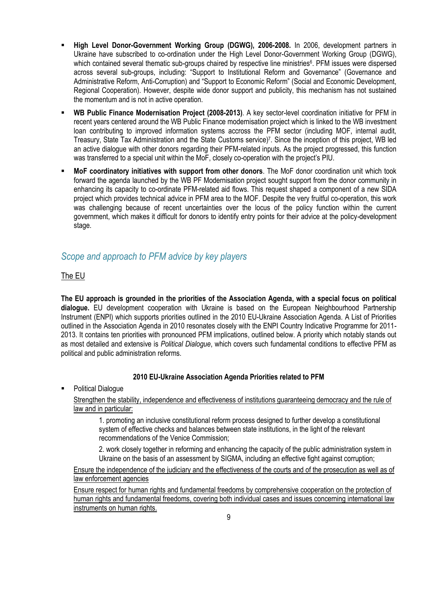- **High Level Donor-Government Working Group (DGWG), 2006-2008.** In 2006, development partners in Ukraine have subscribed to co-ordination under the High Level Donor-Government Working Group (DGWG), which contained several thematic sub-groups chaired by respective line ministries<sup>6</sup>. PFM issues were dispersed across several sub-groups, including: "Support to Institutional Reform and Governance" (Governance and Administrative Reform, Anti-Corruption) and "Support to Economic Reform" (Social and Economic Development, Regional Cooperation). However, despite wide donor support and publicity, this mechanism has not sustained the momentum and is not in active operation.
- **WB Public Finance Modernisation Project (2008-2013)**. A key sector-level coordination initiative for PFM in recent years centered around the WB Public Finance modernisation project which is linked to the WB investment loan contributing to improved information systems accross the PFM sector (including MOF, internal audit, Treasury, State Tax Administration and the State Customs service)<sup>7</sup> . Since the inception of this project, WB led an active dialogue with other donors regarding their PFM-related inputs. As the project progressed, this function was transferred to a special unit within the MoF, closely co-operation with the project's PIU.
- **MoF coordinatory initiatives with support from other donors**. The MoF donor coordination unit which took forward the agenda launched by the WB PF Modernisation project sought support from the donor community in enhancing its capacity to co-ordinate PFM-related aid flows. This request shaped a component of a new SIDA project which provides technical advice in PFM area to the MOF. Despite the very fruitful co-operation, this work was challenging because of recent uncertainties over the locus of the policy function within the current government, which makes it difficult for donors to identify entry points for their advice at the policy-development stage.

## <span id="page-8-0"></span>*Scope and approach to PFM advice by key players*

### <span id="page-8-1"></span>The EU

**The EU approach is grounded in the priorities of the Association Agenda, with a special focus on political dialogue.** EU development cooperation with Ukraine is based on the European Neighbourhood Partnership Instrument (ENPI) which supports priorities outlined in the 2010 EU-Ukraine Association Agenda. A List of Priorities outlined in the Association Agenda in 2010 resonates closely with the ENPI Country Indicative Programme for 2011- 2013. It contains ten priorities with pronounced PFM implications, outlined below. A priority which notably stands out as most detailed and extensive is *Political Dialogue*, which covers such fundamental conditions to effective PFM as political and public administration reforms.

### **2010 EU-Ukraine Association Agenda Priorities related to PFM**

Political Dialogue

Strengthen the stability, independence and effectiveness of institutions guaranteeing democracy and the rule of law and in particular:

1. promoting an inclusive constitutional reform process designed to further develop a constitutional system of effective checks and balances between state institutions, in the light of the relevant recommendations of the Venice Commission;

2. work closely together in reforming and enhancing the capacity of the public administration system in Ukraine on the basis of an assessment by SIGMA, including an effective fight against corruption;

Ensure the independence of the judiciary and the effectiveness of the courts and of the prosecution as well as of law enforcement agencies

Ensure respect for human rights and fundamental freedoms by comprehensive cooperation on the protection of human rights and fundamental freedoms, covering both individual cases and issues concerning international law instruments on human rights.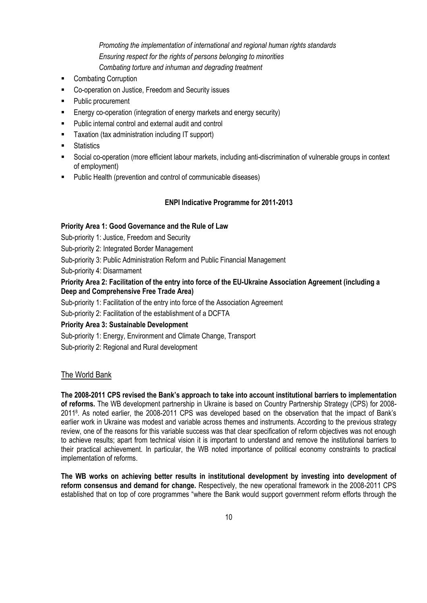*Promoting the implementation of international and regional human rights standards Ensuring respect for the rights of persons belonging to minorities Combating torture and inhuman and degrading treatment*

- Combating Corruption
- **EXECO-operation on Justice, Freedom and Security issues**
- Public procurement
- Energy co-operation (integration of energy markets and energy security)
- **Public internal control and external audit and control**
- Taxation (tax administration including IT support)
- **Statistics**
- Social co-operation (more efficient labour markets, including anti-discrimination of vulnerable groups in context of employment)
- Public Health (prevention and control of communicable diseases)

#### **ENPI Indicative Programme for 2011-2013**

#### **Priority Area 1: Good Governance and the Rule of Law**

Sub-priority 1: Justice, Freedom and Security

Sub-priority 2: Integrated Border Management

Sub-priority 3: Public Administration Reform and Public Financial Management

Sub-priority 4: Disarmament

#### **Priority Area 2: Facilitation of the entry into force of the EU-Ukraine Association Agreement (including a Deep and Comprehensive Free Trade Area)**

Sub-priority 1: Facilitation of the entry into force of the Association Agreement

Sub-priority 2: Facilitation of the establishment of a DCFTA

#### **Priority Area 3: Sustainable Development**

Sub-priority 1: Energy, Environment and Climate Change, Transport

Sub-priority 2: Regional and Rural development

#### <span id="page-9-0"></span>The World Bank

**The 2008-2011 CPS revised the Bank's approach to take into account institutional barriers to implementation of reforms.** The WB development partnership in Ukraine is based on Country Partnership Strategy (CPS) for 2008- 2011<sup>8</sup> . As noted earlier, the 2008-2011 CPS was developed based on the observation that the impact of Bank's earlier work in Ukraine was modest and variable across themes and instruments. According to the previous strategy review, one of the reasons for this variable success was that clear specification of reform objectives was not enough to achieve results; apart from technical vision it is important to understand and remove the institutional barriers to their practical achievement. In particular, the WB noted importance of political economy constraints to practical implementation of reforms.

**The WB works on achieving better results in institutional development by investing into development of reform consensus and demand for change.** Respectively, the new operational framework in the 2008-2011 CPS established that on top of core programmes "where the Bank would support government reform efforts through the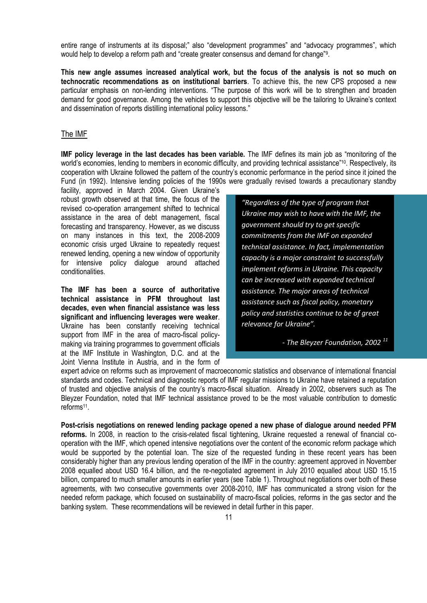entire range of instruments at its disposal;" also "development programmes" and "advocacy programmes", which would help to develop a reform path and "create greater consensus and demand for change"<sup>9</sup> .

**This new angle assumes increased analytical work, but the focus of the analysis is not so much on technocratic recommendations as on institutional barriers**. To achieve this, the new CPS proposed a new particular emphasis on non-lending interventions. "The purpose of this work will be to strengthen and broaden demand for good governance. Among the vehicles to support this objective will be the tailoring to Ukraine's context and dissemination of reports distilling international policy lessons."

#### <span id="page-10-0"></span>The IMF

**IMF policy leverage in the last decades has been variable.** The IMF defines its main job as "monitoring of the world's economies, lending to members in economic difficulty, and providing technical assistance"<sup>10</sup>. Respectively, its cooperation with Ukraine followed the pattern of the country's economic performance in the period since it joined the Fund (in 1992). Intensive lending policies of the 1990s were gradually revised towards a precautionary standby

facility, approved in March 2004. Given Ukraine's robust growth observed at that time, the focus of the revised co-operation arrangement shifted to technical assistance in the area of debt management, fiscal forecasting and transparency. However, as we discuss on many instances in this text, the 2008-2009 economic crisis urged Ukraine to repeatedly request renewed lending, opening a new window of opportunity for intensive policy dialogue around attached conditionalities.

**The IMF has been a source of authoritative technical assistance in PFM throughout last decades, even when financial assistance was less significant and influencing leverages were weaker**. Ukraine has been constantly receiving technical support from IMF in the area of macro-fiscal policymaking via training programmes to government officials at the IMF Institute in Washington, D.C. and at the Joint Vienna Institute in Austria, and in the form of

*"Regardless of the type of program that Ukraine may wish to have with the IMF, the government should try to get specific commitments from the IMF on expanded technical assistance. In fact, implementation capacity is a major constraint to successfully implement reforms in Ukraine. This capacity can be increased with expanded technical assistance. The major areas of technical assistance such as fiscal policy, monetary policy and statistics continue to be of great relevance for Ukraine".*

*- The Bleyzer Foundation, 2002 <sup>11</sup>*

expert advice on reforms such as improvement of macroeconomic statistics and observance of international financial standards and codes. Technical and diagnostic reports of IMF regular missions to Ukraine have retained a reputation of trusted and objective analysis of the country's macro-fiscal situation. Already in 2002, observers such as The Bleyzer Foundation, noted that IMF technical assistance proved to be the most valuable contribution to domestic reforms<sup>11</sup>.

**Post-crisis negotiations on renewed lending package opened a new phase of dialogue around needed PFM reforms.** In 2008, in reaction to the crisis-related fiscal tightening, Ukraine requested a renewal of financial cooperation with the IMF, which opened intensive negotiations over the content of the economic reform package which would be supported by the potential loan. The size of the requested funding in these recent years has been considerably higher than any previous lending operation of the IMF in the country: agreement approved in November 2008 equalled about USD 16.4 billion, and the re-negotiated agreement in July 2010 equalled about USD 15.15 billion, compared to much smaller amounts in earlier years (see Table 1). Throughout negotiations over both of these agreements, with two consecutive governments over 2008-2010, IMF has communicated a strong vision for the needed reform package, which focused on sustainability of macro-fiscal policies, reforms in the gas sector and the banking system. These recommendations will be reviewed in detail further in this paper.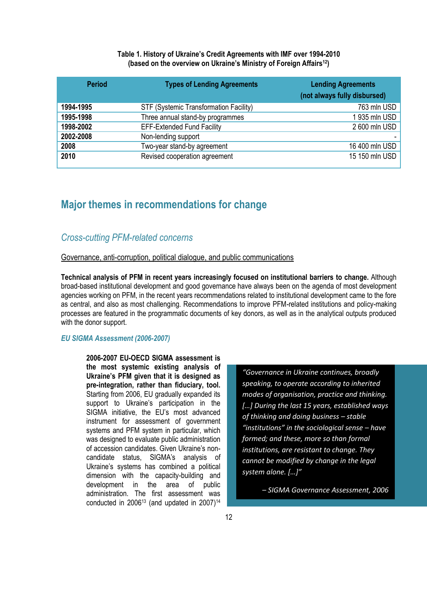#### **Table 1. History of Ukraine's Credit Agreements with IMF over 1994-2010 (based on the overview on Ukraine's Ministry of Foreign Affairs12)**

| <b>Period</b> | <b>Types of Lending Agreements</b>     | <b>Lending Agreements</b><br>(not always fully disbursed) |
|---------------|----------------------------------------|-----------------------------------------------------------|
| 1994-1995     | STF (Systemic Transformation Facility) | 763 mln USD                                               |
| 1995-1998     | Three annual stand-by programmes       | 1935 mln USD                                              |
| 1998-2002     | <b>EFF-Extended Fund Facility</b>      | 2 600 mln USD                                             |
| 2002-2008     | Non-lending support                    |                                                           |
| 2008          | Two-year stand-by agreement            | 16 400 mln USD                                            |
| 2010          | Revised cooperation agreement          | 15 150 mln USD                                            |

# <span id="page-11-0"></span>**Major themes in recommendations for change**

### <span id="page-11-1"></span>*Cross-cutting PFM-related concerns*

#### <span id="page-11-2"></span>Governance, anti-corruption, political dialogue, and public communications

**Technical analysis of PFM in recent years increasingly focused on institutional barriers to change.** Although broad-based institutional development and good governance have always been on the agenda of most development agencies working on PFM, in the recent years recommendations related to institutional development came to the fore as central, and also as most challenging. Recommendations to improve PFM-related institutions and policy-making processes are featured in the programmatic documents of key donors, as well as in the analytical outputs produced with the donor support.

#### <span id="page-11-3"></span>*EU SIGMA Assessment (2006-2007)*

**2006-2007 EU-OECD SIGMA assessment is the most systemic existing analysis of Ukraine's PFM given that it is designed as pre-integration, rather than fiduciary, tool.**  Starting from 2006, EU gradually expanded its support to Ukraine's participation in the SIGMA initiative, the EU's most advanced instrument for assessment of government systems and PFM system in particular, which was designed to evaluate public administration of accession candidates. Given Ukraine's noncandidate status, SIGMA's analysis of Ukraine's systems has combined a political dimension with the capacity-building and development in the area of public administration. The first assessment was conducted in  $2006^{13}$  (and updated in  $2007)^{14}$ 

*"Governance in Ukraine continues, broadly speaking, to operate according to inherited modes of organisation, practice and thinking. \*…+ During the last 15 years, established ways of thinking and doing business – stable "institutions" in the sociological sense – have formed; and these, more so than formal institutions, are resistant to change. They cannot be modified by change in the legal system alone.* [...]"

*– SIGMA Governance Assessment, 2006*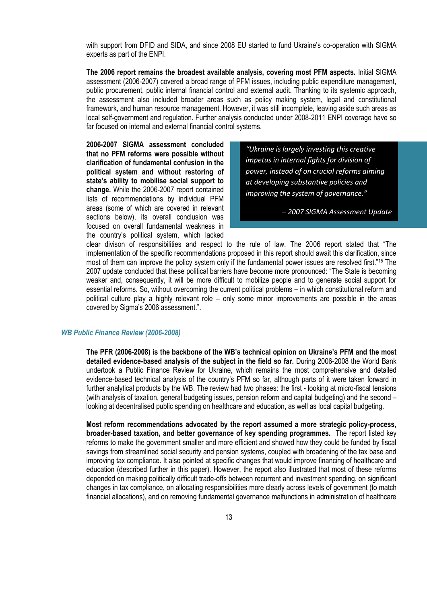with support from DFID and SIDA, and since 2008 EU started to fund Ukraine's co-operation with SIGMA experts as part of the ENPI.

**The 2006 report remains the broadest available analysis, covering most PFM aspects.** Initial SIGMA assessment (2006-2007) covered a broad range of PFM issues, including public expenditure management, public procurement, public internal financial control and external audit. Thanking to its systemic approach, the assessment also included broader areas such as policy making system, legal and constitutional framework, and human resource management. However, it was still incomplete, leaving aside such areas as local self-government and regulation. Further analysis conducted under 2008-2011 ENPI coverage have so far focused on internal and external financial control systems.

**2006-2007 SIGMA assessment concluded that no PFM reforms were possible without clarification of fundamental confusion in the political system and without restoring of state's ability to mobilise social support to change.** While the 2006-2007 report contained lists of recommendations by individual PFM areas (some of which are covered in relevant sections below), its overall conclusion was focused on overall fundamental weakness in the country's political system, which lacked

*"Ukraine is largely investing this creative impetus in internal fights for division of power, instead of on crucial reforms aiming at developing substantive policies and improving the system of governance."* 

*– 2007 SIGMA Assessment Update*

clear divison of responsibilities and respect to the rule of law. The 2006 report stated that "The implementation of the specific recommendations proposed in this report should await this clarification, since most of them can improve the policy system only if the fundamental power issues are resolved first."<sup>15</sup> The 2007 update concluded that these political barriers have become more pronounced: "The State is becoming weaker and, consequently, it will be more difficult to mobilize people and to generate social support for essential reforms. So, without overcoming the current political problems – in which constitutional reform and political culture play a highly relevant role – only some minor improvements are possible in the areas covered by Sigma's 2006 assessment.".

#### <span id="page-12-0"></span>*WB Public Finance Review (2006-2008)*

**The PFR (2006-2008) is the backbone of the WB's technical opinion on Ukraine's PFM and the most detailed evidence-based analysis of the subject in the field so far.** During 2006-2008 the World Bank undertook a Public Finance Review for Ukraine, which remains the most comprehensive and detailed evidence-based technical analysis of the country's PFM so far, although parts of it were taken forward in further analytical products by the WB. The review had two phases: the first - looking at micro-fiscal tensions (with analysis of taxation, general budgeting issues, pension reform and capital budgeting) and the second – looking at decentralised public spending on healthcare and education, as well as local capital budgeting.

**Most reform recommendations advocated by the report assumed a more strategic policy-process, broader-based taxation, and better governance of key spending programmes.** The report listed key reforms to make the government smaller and more efficient and showed how they could be funded by fiscal savings from streamlined social security and pension systems, coupled with broadening of the tax base and improving tax compliance. It also pointed at specific changes that would improve financing of healthcare and education (described further in this paper). However, the report also illustrated that most of these reforms depended on making politically difficult trade-offs between recurrent and investment spending, on significant changes in tax compliance, on allocating responsibilities more clearly across levels of government (to match financial allocations), and on removing fundamental governance malfunctions in administration of healthcare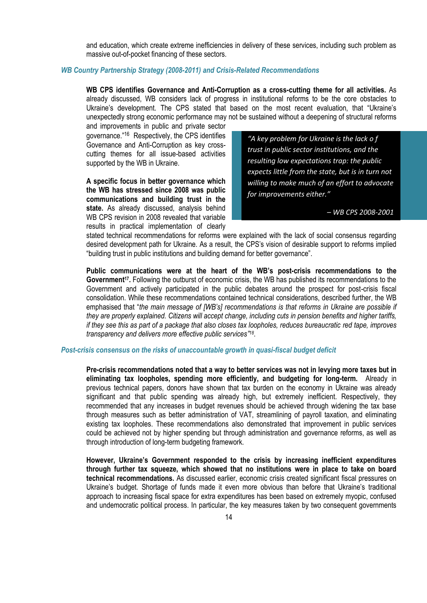and education, which create extreme inefficiencies in delivery of these services, including such problem as massive out-of-pocket financing of these sectors.

#### <span id="page-13-0"></span>*WB Country Partnership Strategy (2008-2011) and Crisis-Related Recommendations*

**WB CPS identifies Governance and Anti-Corruption as a cross-cutting theme for all activities.** As already discussed, WB considers lack of progress in institutional reforms to be the core obstacles to Ukraine's development. The CPS stated that based on the most recent evaluation, that "Ukraine's unexpectedly strong economic performance may not be sustained without a deepening of structural reforms

and improvements in public and private sector governance."<sup>16</sup> Respectively, the CPS identifies Governance and Anti-Corruption as key crosscutting themes for all issue-based activities supported by the WB in Ukraine.

**A specific focus in better governance which the WB has stressed since 2008 was public communications and building trust in the state.** As already discussed, analysis behind WB CPS revision in 2008 revealed that variable results in practical implementation of clearly

*"A key problem for Ukraine is the lack o f trust in public sector institutions, and the resulting low expectations trap: the public expects little from the state, but is in turn not willing to make much of an effort to advocate for improvements either."* 

*– WB CPS 2008-2001*

stated technical recommendations for reforms were explained with the lack of social consensus regarding desired development path for Ukraine. As a result, the CPS's vision of desirable support to reforms implied "building trust in public institutions and building demand for better governance".

**Public communications were at the heart of the WB's post-crisis recommendations to the**  Government<sup>17</sup>. Following the outburst of economic crisis, the WB has published its recommendations to the Government and actively participated in the public debates around the prospect for post-crisis fiscal consolidation. While these recommendations contained technical considerations, described further, the WB emphasised that "*the main message of [WB's] recommendations is that reforms in Ukraine are possible if they are properly explained. Citizens will accept change, including cuts in pension benefits and higher tariffs, if they see this as part of a package that also closes tax loopholes, reduces bureaucratic red tape, improves*  transparency and delivers more effective public services<sup>"18</sup>.

#### <span id="page-13-1"></span>*Post-crisis consensus on the risks of unaccountable growth in quasi-fiscal budget deficit*

**Pre-crisis recommendations noted that a way to better services was not in levying more taxes but in eliminating tax loopholes, spending more efficiently, and budgeting for long-term.** Already in previous technical papers, donors have shown that tax burden on the economy in Ukraine was already significant and that public spending was already high, but extremely inefficient. Respectively, they recommended that any increases in budget revenues should be achieved through widening the tax base through measures such as better administration of VAT, streamlining of payroll taxation, and eliminating existing tax loopholes. These recommendations also demonstrated that improvement in public services could be achieved not by higher spending but through administration and governance reforms, as well as through introduction of long-term budgeting framework.

**However, Ukraine's Government responded to the crisis by increasing inefficient expenditures through further tax squeeze, which showed that no institutions were in place to take on board technical recommendations.** As discussed earlier, economic crisis created significant fiscal pressures on Ukraine's budget. Shortage of funds made it even more obvious than before that Ukraine's traditional approach to increasing fiscal space for extra expenditures has been based on extremely myopic, confused and undemocratic political process. In particular, the key measures taken by two consequent governments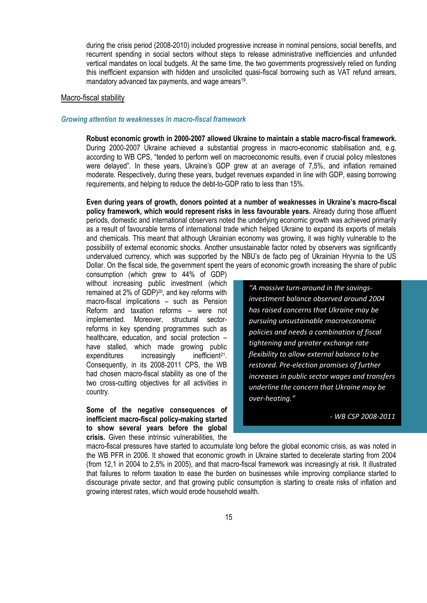during the crisis period (2008-2010) included progressive increase in nominal pensions, social benefits, and recurrent spending in social sectors without steps to release administrative inefficiencies and unfunded vertical mandates on local budgets. At the same time, the two governments progressively relied on funding this inefficient expansion with hidden and unsolicited quasi-fiscal borrowing such as VAT refund arrears, mandatory advanced tax payments, and wage arrears<sup>19</sup>.

#### <span id="page-14-0"></span>Macro-fiscal stability

#### <span id="page-14-1"></span>*Growing attention to weaknesses in macro-fiscal framework*

**Robust economic growth in 2000-2007 allowed Ukraine to maintain a stable macro-fiscal framework.** During 2000-2007 Ukraine achieved a substantial progress in macro-economic stabilisation and, e.g. according to WB CPS, "tended to perform well on macroeconomic results, even if crucial policy milestones were delayed". In these years, Ukraine's GDP grew at an average of 7,5%, and inflation remained moderate. Respectively, during these years, budget revenues expanded in line with GDP, easing borrowing requirements, and helping to reduce the debt-to-GDP ratio to less than 15%.

**Even during years of growth, donors pointed at a number of weaknesses in Ukraine's macro-fiscal policy framework, which would represent risks in less favourable years.** Already during those affluent periods, domestic and international observers noted the underlying economic growth was achieved primarily as a result of favourable terms of international trade which helped Ukraine to expand its exports of metals and chemicals. This meant that although Ukrainian economy was growing, it was highly vulnerable to the possibility of external economic shocks. Another unsustainable factor noted by observers was significantly undervalued currency, which was supported by the NBU's de facto peg of Ukrainian Hryvnia to the US Dollar. On the fiscal side, the government spent the years of economic growth increasing the share of public

consumption (which grew to 44% of GDP) without increasing public investment (which remained at 2% of GDP)<sup>20</sup>, and key reforms with macro-fiscal implications – such as Pension Reform and taxation reforms – were not implemented. Moreover, structural sectorreforms in key spending programmes such as healthcare, education, and social protection – have stalled, which made growing public expenditures increasingly inefficient<sup>21</sup>. Consequently, in its 2008-2011 CPS, the WB had chosen macro-fiscal stability as one of the two cross-cutting objectives for all activities in country.

**Some of the negative consequences of inefficient macro-fiscal policy-making started to show several years before the global crisis.** Given these intrinsic vulnerabilities, the

*"A massive turn-around in the savingsinvestment balance observed around 2004 has raised concerns that Ukraine may be pursuing unsustainable macroeconomic policies and needs a combination of fiscal tightening and greater exchange rate flexibility to allow external balance to be restored. Pre-election promises of further increases in public sector wages and transfers underline the concern that Ukraine may be over-heating."*

*- WB CSP 2008-2011*

macro-fiscal pressures have started to accumulate long before the global economic crisis, as was noted in the WB PFR in 2006. It showed that economic growth in Ukraine started to decelerate starting from 2004 (from 12,1 in 2004 to 2,5% in 2005), and that macro-fiscal framework was increasingly at risk. It illustrated that failures to reform taxation to ease the burden on businesses while improving compliance started to discourage private sector, and that growing public consumption is starting to create risks of inflation and growing interest rates, which would erode household wealth.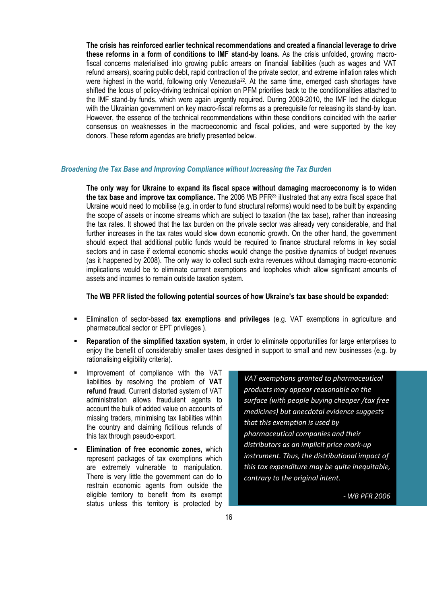**The crisis has reinforced earlier technical recommendations and created a financial leverage to drive these reforms in a form of conditions to IMF stand-by loans.** As the crisis unfolded, growing macrofiscal concerns materialised into growing public arrears on financial liabilities (such as wages and VAT refund arrears), soaring public debt, rapid contraction of the private sector, and extreme inflation rates which were highest in the world, following only Venezuela<sup>22</sup>. At the same time, emerged cash shortages have shifted the locus of policy-driving technical opinion on PFM priorities back to the conditionalities attached to the IMF stand-by funds, which were again urgently required. During 2009-2010, the IMF led the dialogue with the Ukrainian government on key macro-fiscal reforms as a prerequisite for releasing its stand-by loan. However, the essence of the technical recommendations within these conditions coincided with the earlier consensus on weaknesses in the macroeconomic and fiscal policies, and were supported by the key donors. These reform agendas are briefly presented below.

#### <span id="page-15-0"></span>*Broadening the Tax Base and Improving Compliance without Increasing the Tax Burden*

**The only way for Ukraine to expand its fiscal space without damaging macroeconomy is to widen the tax base and improve tax compliance.** The 2006 WB PFR<sup>23</sup> illustrated that any extra fiscal space that Ukraine would need to mobilise (e.g. in order to fund structural reforms) would need to be built by expanding the scope of assets or income streams which are subject to taxation (the tax base), rather than increasing the tax rates. It showed that the tax burden on the private sector was already very considerable, and that further increases in the tax rates would slow down economic growth. On the other hand, the government should expect that additional public funds would be required to finance structural reforms in key social sectors and in case if external economic shocks would change the positive dynamics of budget revenues (as it happened by 2008). The only way to collect such extra revenues without damaging macro-economic implications would be to eliminate current exemptions and loopholes which allow significant amounts of assets and incomes to remain outside taxation system.

#### **The WB PFR listed the following potential sources of how Ukraine's tax base should be expanded:**

- Elimination of sector-based **tax exemptions and privileges** (e.g. VAT exemptions in agriculture and pharmaceutical sector or EPT privileges ).
- **Reparation of the simplified taxation system**, in order to eliminate opportunities for large enterprises to enjoy the benefit of considerably smaller taxes designed in support to small and new businesses (e.g. by rationalising eligibility criteria).
- Improvement of compliance with the VAT liabilities by resolving the problem of **VAT refund fraud**. Current distorted system of VAT administration allows fraudulent agents to account the bulk of added value on accounts of missing traders, minimising tax liabilities within the country and claiming fictitious refunds of this tax through pseudo-export.
- **Elimination of free economic zones,** which represent packages of tax exemptions which are extremely vulnerable to manipulation. There is very little the government can do to restrain economic agents from outside the eligible territory to benefit from its exempt status unless this territory is protected by

*VAT exemptions granted to pharmaceutical products may appear reasonable on the surface (with people buying cheaper /tax free medicines) but anecdotal evidence suggests that this exemption is used by pharmaceutical companies and their distributors as an implicit price mark-up instrument. Thus, the distributional impact of this tax expenditure may be quite inequitable, contrary to the original intent.*

*- WB PFR 2006*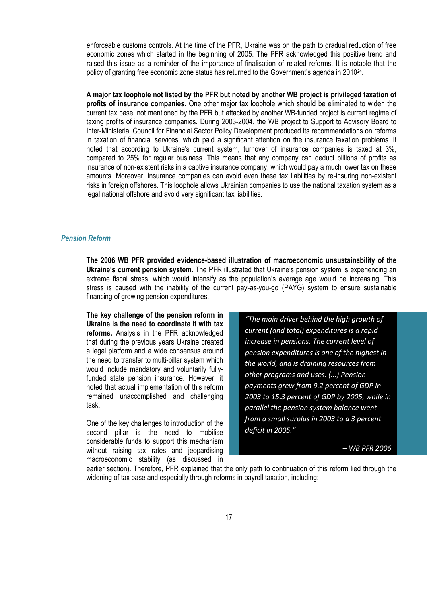enforceable customs controls. At the time of the PFR, Ukraine was on the path to gradual reduction of free economic zones which started in the beginning of 2005. The PFR acknowledged this positive trend and raised this issue as a reminder of the importance of finalisation of related reforms. It is notable that the policy of granting free economic zone status has returned to the Government's agenda in 2010<sup>24</sup>.

**A major tax loophole not listed by the PFR but noted by another WB project is privileged taxation of profits of insurance companies.** One other major tax loophole which should be eliminated to widen the current tax base, not mentioned by the PFR but attacked by another WB-funded project is current regime of taxing profits of insurance companies. During 2003-2004, the WB project to Support to Advisory Board to Inter-Ministerial Council for Financial Sector Policy Development produced its recommendations on reforms in taxation of financial services, which paid a significant attention on the insurance taxation problems. It noted that according to Ukraine's current system, turnover of insurance companies is taxed at 3%, compared to 25% for regular business. This means that any company can deduct billions of profits as insurance of non-existent risks in a captive insurance company, which would pay a much lower tax on these amounts. Moreover, insurance companies can avoid even these tax liabilities by re-insuring non-existent risks in foreign offshores. This loophole allows Ukrainian companies to use the national taxation system as a legal national offshore and avoid very significant tax liabilities.

#### <span id="page-16-0"></span>*Pension Reform*

**The 2006 WB PFR provided evidence-based illustration of macroeconomic unsustainability of the Ukraine's current pension system.** The PFR illustrated that Ukraine's pension system is experiencing an extreme fiscal stress, which would intensify as the population's average age would be increasing. This stress is caused with the inability of the current pay-as-you-go (PAYG) system to ensure sustainable financing of growing pension expenditures.

**The key challenge of the pension reform in Ukraine is the need to coordinate it with tax reforms.** Analysis in the PFR acknowledged that during the previous years Ukraine created a legal platform and a wide consensus around the need to transfer to multi-pillar system which would include mandatory and voluntarily fullyfunded state pension insurance. However, it noted that actual implementation of this reform remained unaccomplished and challenging task.

One of the key challenges to introduction of the second pillar is the need to mobilise considerable funds to support this mechanism without raising tax rates and jeopardising macroeconomic stability (as discussed in

*"The main driver behind the high growth of current (and total) expenditures is a rapid increase in pensions. The current level of pension expenditures is one of the highest in the world, and is draining resources from other programs and uses. (...) Pension payments grew from 9.2 percent of GDP in 2003 to 15.3 percent of GDP by 2005, while in parallel the pension system balance went from a small surplus in 2003 to a 3 percent deficit in 2005."* 

*– WB PFR 2006*

earlier section). Therefore, PFR explained that the only path to continuation of this reform lied through the widening of tax base and especially through reforms in payroll taxation, including: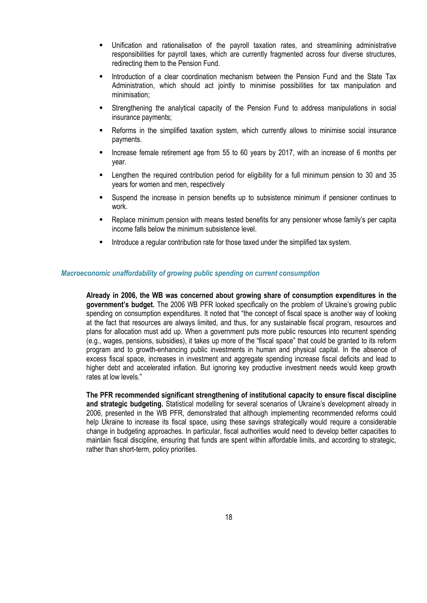- Unification and rationalisation of the payroll taxation rates, and streamlining administrative responsibilities for payroll taxes, which are currently fragmented across four diverse structures, redirecting them to the Pension Fund.
- **Introduction of a clear coordination mechanism between the Pension Fund and the State Tax** Administration, which should act jointly to minimise possibilities for tax manipulation and minimisation;
- Strengthening the analytical capacity of the Pension Fund to address manipulations in social insurance payments;
- Reforms in the simplified taxation system, which currently allows to minimise social insurance payments.
- Increase female retirement age from 55 to 60 years by 2017, with an increase of 6 months per year.
- Lengthen the required contribution period for eligibility for a full minimum pension to 30 and 35 years for women and men, respectively
- Suspend the increase in pension benefits up to subsistence minimum if pensioner continues to work.
- Replace minimum pension with means tested benefits for any pensioner whose family's per capita income falls below the minimum subsistence level.
- **Introduce a regular contribution rate for those taxed under the simplified tax system.**

#### <span id="page-17-0"></span>*Macroeconomic unaffordability of growing public spending on current consumption*

**Already in 2006, the WB was concerned about growing share of consumption expenditures in the government's budget.** The 2006 WB PFR looked specifically on the problem of Ukraine's growing public spending on consumption expenditures. It noted that "the concept of fiscal space is another way of looking at the fact that resources are always limited, and thus, for any sustainable fiscal program, resources and plans for allocation must add up. When a government puts more public resources into recurrent spending (e.g., wages, pensions, subsidies), it takes up more of the "fiscal space" that could be granted to its reform program and to growth-enhancing public investments in human and physical capital. In the absence of excess fiscal space, increases in investment and aggregate spending increase fiscal deficits and lead to higher debt and accelerated inflation. But ignoring key productive investment needs would keep growth rates at low levels."

**The PFR recommended significant strengthening of institutional capacity to ensure fiscal discipline and strategic budgeting.** Statistical modelling for several scenarios of Ukraine's development already in 2006, presented in the WB PFR, demonstrated that although implementing recommended reforms could help Ukraine to increase its fiscal space, using these savings strategically would require a considerable change in budgeting approaches. In particular, fiscal authorities would need to develop better capacities to maintain fiscal discipline, ensuring that funds are spent within affordable limits, and according to strategic, rather than short-term, policy priorities.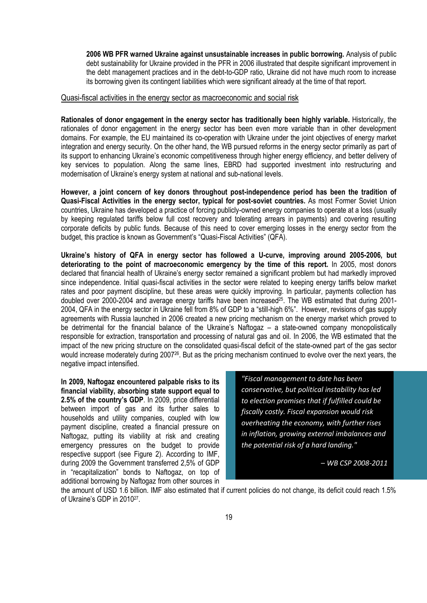**2006 WB PFR warned Ukraine against unsustainable increases in public borrowing.** Analysis of public debt sustainability for Ukraine provided in the PFR in 2006 illustrated that despite significant improvement in the debt management practices and in the debt-to-GDP ratio, Ukraine did not have much room to increase its borrowing given its contingent liabilities which were significant already at the time of that report.

#### <span id="page-18-0"></span>Quasi-fiscal activities in the energy sector as macroeconomic and social risk

**Rationales of donor engagement in the energy sector has traditionally been highly variable.** Historically, the rationales of donor engagement in the energy sector has been even more variable than in other development domains. For example, the EU maintained its co-operation with Ukraine under the joint objectives of energy market integration and energy security. On the other hand, the WB pursued reforms in the energy sector primarily as part of its support to enhancing Ukraine's economic competitiveness through higher energy efficiency, and better delivery of key services to population. Along the same lines, EBRD had supported investment into restructuring and modernisation of Ukraine's energy system at national and sub-national levels.

**However, a joint concern of key donors throughout post-independence period has been the tradition of Quasi-Fiscal Activities in the energy sector, typical for post-soviet countries.** As most Former Soviet Union countries, Ukraine has developed a practice of forcing publicly-owned energy companies to operate at a loss (usually by keeping regulated tariffs below full cost recovery and tolerating arrears in payments) and covering resulting corporate deficits by public funds. Because of this need to cover emerging losses in the energy sector from the budget, this practice is known as Government's "Quasi-Fiscal Activities" (QFA).

**Ukraine's history of QFA in energy sector has followed a U-curve, improving around 2005-2006, but deteriorating to the point of macroeconomic emergency by the time of this report.** In 2005, most donors declared that financial health of Ukraine's energy sector remained a significant problem but had markedly improved since independence. Initial quasi-fiscal activities in the sector were related to keeping energy tariffs below market rates and poor payment discipline, but these areas were quickly improving. In particular, payments collection has doubled over 2000-2004 and average energy tariffs have been increased<sup>25</sup> . The WB estimated that during 2001- 2004, QFA in the energy sector in Ukraine fell from 8% of GDP to a "still-high 6%". However, revisions of gas supply agreements with Russia launched in 2006 created a new pricing mechanism on the energy market which proved to be detrimental for the financial balance of the Ukraine's Naftogaz – a state-owned company monopolistically responsible for extraction, transportation and processing of natural gas and oil. In 2006, the WB estimated that the impact of the new pricing structure on the consolidated quasi-fiscal deficit of the state-owned part of the gas sector would increase moderately during 2007<sup>26</sup>. But as the pricing mechanism continued to evolve over the next years, the negative impact intensified.

**In 2009, Naftogaz encountered palpable risks to its financial viability, absorbing state support equal to 2.5% of the country's GDP**. In 2009, price differential between import of gas and its further sales to households and utility companies, coupled with low payment discipline, created a financial pressure on Naftogaz, putting its viability at risk and creating emergency pressures on the budget to provide respective support (see Figure 2). According to IMF, during 2009 the Government transferred 2,5% of GDP in "recapitalization" bonds to Naftogaz, on top of additional borrowing by Naftogaz from other sources in

*"Fiscal management to date has been conservative, but political instability has led to election promises that if fulfilled could be fiscally costly. Fiscal expansion would risk overheating the economy, with further rises in inflation, growing external imbalances and the potential risk of a hard landing."*

*– WB CSP 2008-2011*

the amount of USD 1.6 billion. IMF also estimated that if current policies do not change, its deficit could reach 1.5% of Ukraine's GDP in 2010<sup>27</sup>.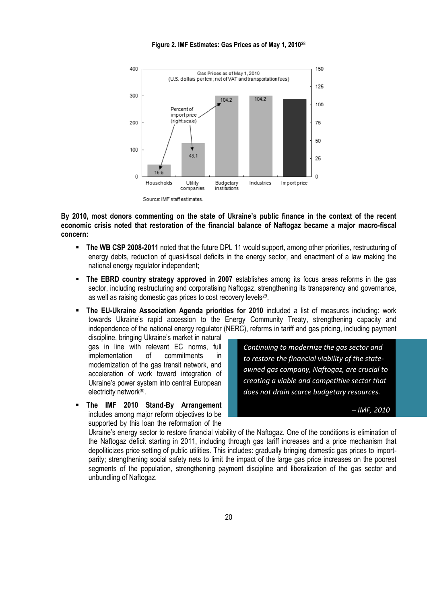**Figure 2. IMF Estimates: Gas Prices as of May 1, 2010<sup>28</sup>**



Source: IMF staff estimates.

**By 2010, most donors commenting on the state of Ukraine's public finance in the context of the recent economic crisis noted that restoration of the financial balance of Naftogaz became a major macro-fiscal concern:**

- **The WB CSP 2008-2011** noted that the future DPL 11 would support, among other priorities, restructuring of energy debts, reduction of quasi-fiscal deficits in the energy sector, and enactment of a law making the national energy regulator independent;
- **The EBRD country strategy approved in 2007** establishes among its focus areas reforms in the gas sector, including restructuring and corporatising Naftogaz, strengthening its transparency and governance, as well as raising domestic gas prices to cost recovery levels<sup>29</sup>.
- **The EU-Ukraine Association Agenda priorities for 2010** included a list of measures including: work towards Ukraine's rapid accession to the Energy Community Treaty, strengthening capacity and independence of the national energy regulator (NERC), reforms in tariff and gas pricing, including payment

discipline, bringing Ukraine's market in natural gas in line with relevant EC norms, full implementation of commitments in modernization of the gas transit network, and acceleration of work toward integration of Ukraine's power system into central European electricity network<sup>30</sup>.

 **The IMF 2010 Stand-By Arrangement**  includes among major reform objectives to be supported by this loan the reformation of the

*Continuing to modernize the gas sector and to restore the financial viability of the stateowned gas company, Naftogaz, are crucial to creating a viable and competitive sector that does not drain scarce budgetary resources.* 

*– IMF, 2010*

Ukraine's energy sector to restore financial viability of the Naftogaz. One of the conditions is elimination of the Naftogaz deficit starting in 2011, including through gas tariff increases and a price mechanism that depoliticizes price setting of public utilities. This includes: gradually bringing domestic gas prices to importparity; strengthening social safety nets to limit the impact of the large gas price increases on the poorest segments of the population, strengthening payment discipline and liberalization of the gas sector and unbundling of Naftogaz.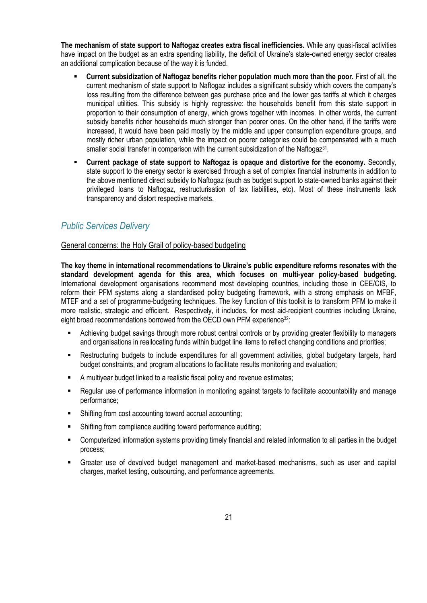**The mechanism of state support to Naftogaz creates extra fiscal inefficiencies.** While any quasi-fiscal activities have impact on the budget as an extra spending liability, the deficit of Ukraine's state-owned energy sector creates an additional complication because of the way it is funded.

- **Current subsidization of Naftogaz benefits richer population much more than the poor.** First of all, the current mechanism of state support to Naftogaz includes a significant subsidy which covers the company's loss resulting from the difference between gas purchase price and the lower gas tariffs at which it charges municipal utilities. This subsidy is highly regressive: the households benefit from this state support in proportion to their consumption of energy, which grows together with incomes. In other words, the current subsidy benefits richer households much stronger than poorer ones. On the other hand, if the tariffs were increased, it would have been paid mostly by the middle and upper consumption expenditure groups, and mostly richer urban population, while the impact on poorer categories could be compensated with a much smaller social transfer in comparison with the current subsidization of the Naftogaz $31$ .
- **Current package of state support to Naftogaz is opaque and distortive for the economy.** Secondly, state support to the energy sector is exercised through a set of complex financial instruments in addition to the above mentioned direct subsidy to Naftogaz (such as budget support to state-owned banks against their privileged loans to Naftogaz, restructurisation of tax liabilities, etc). Most of these instruments lack transparency and distort respective markets.

### <span id="page-20-0"></span>*Public Services Delivery*

#### <span id="page-20-1"></span>General concerns: the Holy Grail of policy-based budgeting

**The key theme in international recommendations to Ukraine's public expenditure reforms resonates with the standard development agenda for this area, which focuses on multi-year policy-based budgeting.**  International development organisations recommend most developing countries, including those in CEE/CIS, to reform their PFM systems along a standardised policy budgeting framework, with a strong emphasis on MFBF, MTEF and a set of programme-budgeting techniques. The key function of this toolkit is to transform PFM to make it more realistic, strategic and efficient. Respectively, it includes, for most aid-recipient countries including Ukraine, eight broad recommendations borrowed from the OECD own PFM experience<sup>32</sup>:

- Achieving budget savings through more robust central controls or by providing greater flexibility to managers and organisations in reallocating funds within budget line items to reflect changing conditions and priorities;
- Restructuring budgets to include expenditures for all government activities, global budgetary targets, hard budget constraints, and program allocations to facilitate results monitoring and evaluation;
- A multiyear budget linked to a realistic fiscal policy and revenue estimates;
- Regular use of performance information in monitoring against targets to facilitate accountability and manage performance;
- Shifting from cost accounting toward accrual accounting;
- Shifting from compliance auditing toward performance auditing;
- Computerized information systems providing timely financial and related information to all parties in the budget process;
- Greater use of devolved budget management and market-based mechanisms, such as user and capital charges, market testing, outsourcing, and performance agreements.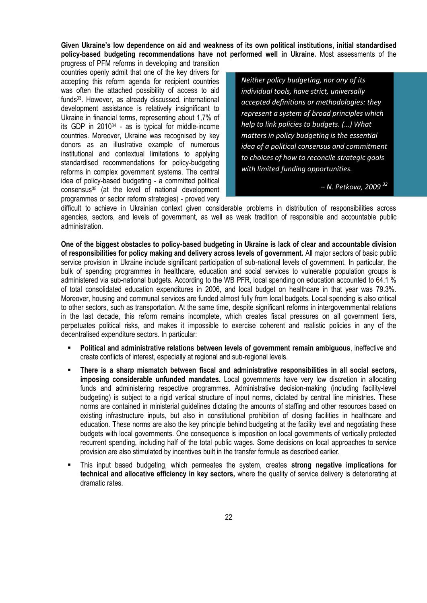**Given Ukraine's low dependence on aid and weakness of its own political institutions, initial standardised policy-based budgeting recommendations have not performed well in Ukraine.** Most assessments of the

progress of PFM reforms in developing and transition countries openly admit that one of the key drivers for accepting this reform agenda for recipient countries was often the attached possibility of access to aid funds33. However, as already discussed, international development assistance is relatively insignificant to Ukraine in financial terms, representing about 1,7% of its GDP in 2010<sup>34</sup> - as is typical for middle-income countries. Moreover, Ukraine was recognised by key donors as an illustrative example of numerous institutional and contextual limitations to applying standardised recommendations for policy-budgeting reforms in complex government systems. The central idea of policy-based budgeting - a committed political consensus<sup>35</sup> (at the level of national development programmes or sector reform strategies) - proved very

*Neither policy budgeting, nor any of its individual tools, have strict, universally accepted definitions or methodologies: they represent a system of broad principles which help to link policies to budgets. (…) What matters in policy budgeting is the essential idea of a political consensus and commitment to choices of how to reconcile strategic goals with limited funding opportunities.*

*– N. Petkova, 2009 <sup>32</sup>*

difficult to achieve in Ukrainian context given considerable problems in distribution of responsibilities across agencies, sectors, and levels of government, as well as weak tradition of responsible and accountable public administration.

**One of the biggest obstacles to policy-based budgeting in Ukraine is lack of clear and accountable division of responsibilities for policy making and delivery across levels of government.** All major sectors of basic public service provision in Ukraine include significant participation of sub-national levels of government. In particular, the bulk of spending programmes in healthcare, education and social services to vulnerable population groups is administered via sub-national budgets. According to the WB PFR, local spending on education accounted to 64.1 % of total consolidated education expenditures in 2006, and local budget on healthcare in that year was 79.3%. Moreover, housing and communal services are funded almost fully from local budgets. Local spending is also critical to other sectors, such as transportation. At the same time, despite significant reforms in intergovernmental relations in the last decade, this reform remains incomplete, which creates fiscal pressures on all government tiers, perpetuates political risks, and makes it impossible to exercise coherent and realistic policies in any of the decentralised expenditure sectors. In particular:

- **Political and administrative relations between levels of government remain ambiguous**, ineffective and create conflicts of interest, especially at regional and sub-regional levels.
- **There is a sharp mismatch between fiscal and administrative responsibilities in all social sectors, imposing considerable unfunded mandates.** Local governments have very low discretion in allocating funds and administering respective programmes. Administrative decision-making (including facility-level budgeting) is subject to a rigid vertical structure of input norms, dictated by central line ministries. These norms are contained in ministerial guidelines dictating the amounts of staffing and other resources based on existing infrastructure inputs, but also in constitutional prohibition of closing facilities in healthcare and education. These norms are also the key principle behind budgeting at the facility level and negotiating these budgets with local governments. One consequence is imposition on local governments of vertically protected recurrent spending, including half of the total public wages. Some decisions on local approaches to service provision are also stimulated by incentives built in the transfer formula as described earlier.
- This input based budgeting, which permeates the system, creates **strong negative implications for technical and allocative efficiency in key sectors,** where the quality of service delivery is deteriorating at dramatic rates.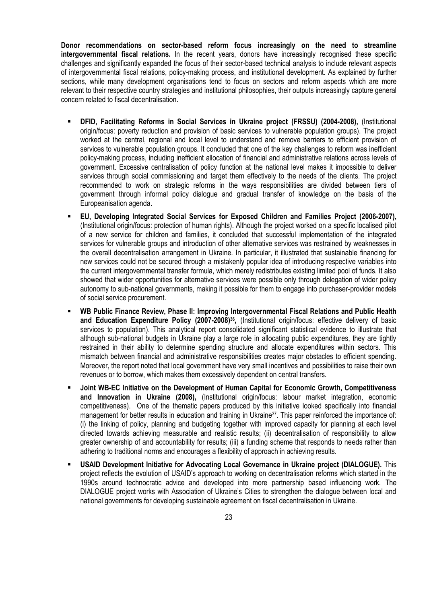**Donor recommendations on sector-based reform focus increasingly on the need to streamline intergovernmental fiscal relations.** In the recent years, donors have increasingly recognised these specific challenges and significantly expanded the focus of their sector-based technical analysis to include relevant aspects of intergovernmental fiscal relations, policy-making process, and institutional development. As explained by further sections, while many development organisations tend to focus on sectors and reform aspects which are more relevant to their respective country strategies and institutional philosophies, their outputs increasingly capture general concern related to fiscal decentralisation.

- **DFID, Facilitating Reforms in Social Services in Ukraine project (FRSSU) (2004-2008),** (Institutional origin/focus: poverty reduction and provision of basic services to vulnerable population groups). The project worked at the central, regional and local level to understand and remove barriers to efficient provision of services to vulnerable population groups. It concluded that one of the key challenges to reform was inefficient policy-making process, including inefficient allocation of financial and administrative relations across levels of government. Excessive centralisation of policy function at the national level makes it impossible to deliver services through social commissioning and target them effectively to the needs of the clients. The project recommended to work on strategic reforms in the ways responsibilities are divided between tiers of government through informal policy dialogue and gradual transfer of knowledge on the basis of the Europeanisation agenda.
- **EU, Developing Integrated Social Services for Exposed Children and Families Project (2006-2007),** (Institutional origin/focus: protection of human rights). Although the project worked on a specific localised pilot of a new service for children and families, it concluded that successful implementation of the integrated services for vulnerable groups and introduction of other alternative services was restrained by weaknesses in the overall decentralisation arrangement in Ukraine. In particular, it illustrated that sustainable financing for new services could not be secured through a mistakenly popular idea of introducing respective variables into the current intergovernmental transfer formula, which merely redistributes existing limited pool of funds. It also showed that wider opportunities for alternative services were possible only through delegation of wider policy autonomy to sub-national governments, making it possible for them to engage into purchaser-provider models of social service procurement.
- **WB Public Finance Review, Phase II: Improving Intergovernmental Fiscal Relations and Public Health and Education Expenditure Policy (2007-2008)<sup>36</sup> ,** (Institutional origin/focus: effective delivery of basic services to population). This analytical report consolidated significant statistical evidence to illustrate that although sub-national budgets in Ukraine play a large role in allocating public expenditures, they are tightly restrained in their ability to determine spending structure and allocate expenditures within sectors. This mismatch between financial and administrative responsibilities creates major obstacles to efficient spending. Moreover, the report noted that local government have very small incentives and possibilities to raise their own revenues or to borrow, which makes them excessively dependent on central transfers.
- **Joint WB-EC Initiative on the Development of Human Capital for Economic Growth, Competitiveness and Innovation in Ukraine (2008),** (Institutional origin/focus: labour market integration, economic competitiveness). One of the thematic papers produced by this initiative looked specifically into financial management for better results in education and training in Ukraine<sup>37</sup>. This paper reinforced the importance of: (i) the linking of policy, planning and budgeting together with improved capacity for planning at each level directed towards achieving measurable and realistic results; (ii) decentralisation of responsibility to allow greater ownership of and accountability for results; (iii) a funding scheme that responds to needs rather than adhering to traditional norms and encourages a flexibility of approach in achieving results.
- **USAID Development Initiative for Advocating Local Governance in Ukraine project (DIALOGUE).** This project reflects the evolution of USAID's approach to working on decentralisation reforms which started in the 1990s around technocratic advice and developed into more partnership based influencing work. The DIALOGUE project works with Association of Ukraine's Cities to strengthen the dialogue between local and national governments for developing sustainable agreement on fiscal decentralisation in Ukraine.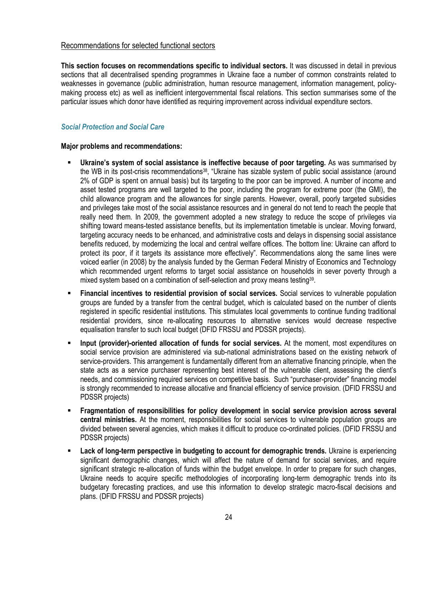#### <span id="page-23-0"></span>Recommendations for selected functional sectors

**This section focuses on recommendations specific to individual sectors.** It was discussed in detail in previous sections that all decentralised spending programmes in Ukraine face a number of common constraints related to weaknesses in governance (public administration, human resource management, information management, policymaking process etc) as well as inefficient intergovernmental fiscal relations. This section summarises some of the particular issues which donor have identified as requiring improvement across individual expenditure sectors.

#### <span id="page-23-1"></span>*Social Protection and Social Care*

#### **Major problems and recommendations:**

- **Ukraine's system of social assistance is ineffective because of poor targeting.** As was summarised by the WB in its post-crisis recommendations<sup>38</sup>, "Ukraine has sizable system of public social assistance (around 2% of GDP is spent on annual basis) but its targeting to the poor can be improved. A number of income and asset tested programs are well targeted to the poor, including the program for extreme poor (the GMI), the child allowance program and the allowances for single parents. However, overall, poorly targeted subsidies and privileges take most of the social assistance resources and in general do not tend to reach the people that really need them. In 2009, the government adopted a new strategy to reduce the scope of privileges via shifting toward means-tested assistance benefits, but its implementation timetable is unclear. Moving forward, targeting accuracy needs to be enhanced, and administrative costs and delays in dispensing social assistance benefits reduced, by modernizing the local and central welfare offices. The bottom line: Ukraine can afford to protect its poor, if it targets its assistance more effectively". Recommendations along the same lines were voiced earlier (in 2008) by the analysis funded by the German Federal Ministry of Economics and Technology which recommended urgent reforms to target social assistance on households in sever poverty through a mixed system based on a combination of self-selection and proxy means testing<sup>39</sup>.
- **Financial incentives to residential provision of social services.** Social services to vulnerable population groups are funded by a transfer from the central budget, which is calculated based on the number of clients registered in specific residential institutions. This stimulates local governments to continue funding traditional residential providers, since re-allocating resources to alternative services would decrease respective equalisation transfer to such local budget (DFID FRSSU and PDSSR projects).
- **Input (provider)-oriented allocation of funds for social services.** At the moment, most expenditures on social service provision are administered via sub-national administrations based on the existing network of service-providers. This arrangement is fundamentally different from an alternative financing principle, when the state acts as a service purchaser representing best interest of the vulnerable client, assessing the client's needs, and commissioning required services on competitive basis. Such "purchaser-provider" financing model is strongly recommended to increase allocative and financial efficiency of service provision. (DFID FRSSU and PDSSR projects)
- **Fragmentation of responsibilities for policy development in social service provision across several central ministries.** At the moment, responsibilities for social services to vulnerable population groups are divided between several agencies, which makes it difficult to produce co-ordinated policies. (DFID FRSSU and PDSSR projects)
- **Lack of long-term perspective in budgeting to account for demographic trends.** Ukraine is experiencing significant demographic changes, which will affect the nature of demand for social services, and require significant strategic re-allocation of funds within the budget envelope. In order to prepare for such changes, Ukraine needs to acquire specific methodologies of incorporating long-term demographic trends into its budgetary forecasting practices, and use this information to develop strategic macro-fiscal decisions and plans. (DFID FRSSU and PDSSR projects)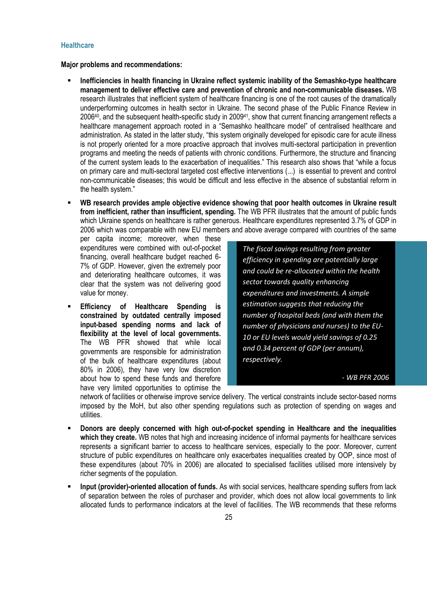#### <span id="page-24-0"></span>**Healthcare**

**Major problems and recommendations:**

- **Inefficiencies in health financing in Ukraine reflect systemic inability of the Semashko-type healthcare management to deliver effective care and prevention of chronic and non-communicable diseases.** WB research illustrates that inefficient system of healthcare financing is one of the root causes of the dramatically underperforming outcomes in health sector in Ukraine. The second phase of the Public Finance Review in 2006<sup>40</sup>, and the subsequent health-specific study in 2009<sup>41</sup>, show that current financing arrangement reflects a healthcare management approach rooted in a "Semashko healthcare model" of centralised healthcare and administration. As stated in the latter study, "this system originally developed for episodic care for acute illness is not properly oriented for a more proactive approach that involves multi-sectoral participation in prevention programs and meeting the needs of patients with chronic conditions. Furthermore, the structure and financing of the current system leads to the exacerbation of inequalities." This research also shows that "while a focus on primary care and multi-sectoral targeted cost effective interventions (...) is essential to prevent and control non-communicable diseases; this would be difficult and less effective in the absence of substantial reform in the health system."
- **WB research provides ample objective evidence showing that poor health outcomes in Ukraine result from inefficient, rather than insufficient, spending.** The WB PFR illustrates that the amount of public funds which Ukraine spends on healthcare is rather generous. Healthcare expenditures represented 3.7% of GDP in 2006 which was comparable with new EU members and above average compared with countries of the same

per capita income; moreover, when these expenditures were combined with out-of-pocket financing, overall healthcare budget reached 6- 7% of GDP. However, given the extremely poor and deteriorating healthcare outcomes, it was clear that the system was not delivering good value for money.

 **Efficiency of Healthcare Spending is constrained by outdated centrally imposed input-based spending norms and lack of flexibility at the level of local governments.**  The WB PFR showed that while local governments are responsible for administration of the bulk of healthcare expenditures (about 80% in 2006), they have very low discretion about how to spend these funds and therefore have very limited opportunities to optimise the

*The fiscal savings resulting from greater efficiency in spending are potentially large and could be re-allocated within the health sector towards quality enhancing expenditures and investments. A simple estimation suggests that reducing the number of hospital beds (and with them the number of physicians and nurses) to the EU-10 or EU levels would yield savings of 0.25 and 0.34 percent of GDP (per annum), respectively.* 

*- WB PFR 2006*

network of facilities or otherwise improve service delivery. The vertical constraints include sector-based norms imposed by the MoH, but also other spending regulations such as protection of spending on wages and utilities.

- **Donors are deeply concerned with high out-of-pocket spending in Healthcare and the inequalities**  which they create. WB notes that high and increasing incidence of informal payments for healthcare services represents a significant barrier to access to healthcare services, especially to the poor. Moreover, current structure of public expenditures on healthcare only exacerbates inequalities created by OOP, since most of these expenditures (about 70% in 2006) are allocated to specialised facilities utilised more intensively by richer segments of the population.
- **Input (provider)-oriented allocation of funds.** As with social services, healthcare spending suffers from lack of separation between the roles of purchaser and provider, which does not allow local governments to link allocated funds to performance indicators at the level of facilities. The WB recommends that these reforms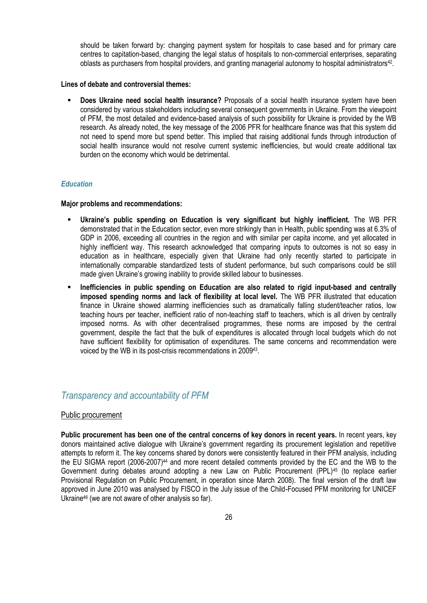should be taken forward by: changing payment system for hospitals to case based and for primary care centres to capitation-based, changing the legal status of hospitals to non-commercial enterprises, separating oblasts as purchasers from hospital providers, and granting managerial autonomy to hospital administrators<sup>42</sup>.

#### **Lines of debate and controversial themes:**

 **Does Ukraine need social health insurance?** Proposals of a social health insurance system have been considered by various stakeholders including several consequent governments in Ukraine. From the viewpoint of PFM, the most detailed and evidence-based analysis of such possibility for Ukraine is provided by the WB research. As already noted, the key message of the 2006 PFR for healthcare finance was that this system did not need to spend more but spend better. This implied that raising additional funds through introduction of social health insurance would not resolve current systemic inefficiencies, but would create additional tax burden on the economy which would be detrimental.

#### <span id="page-25-0"></span>*Education*

#### **Major problems and recommendations:**

- **Ukraine's public spending on Education is very significant but highly inefficient.** The WB PFR demonstrated that in the Education sector, even more strikingly than in Health, public spending was at 6.3% of GDP in 2006, exceeding all countries in the region and with similar per capita income, and yet allocated in highly inefficient way. This research acknowledged that comparing inputs to outcomes is not so easy in education as in healthcare, especially given that Ukraine had only recently started to participate in internationally comparable standardized tests of student performance, but such comparisons could be still made given Ukraine's growing inability to provide skilled labour to businesses.
- **Inefficiencies in public spending on Education are also related to rigid input-based and centrally imposed spending norms and lack of flexibility at local level.** The WB PFR illustrated that education finance in Ukraine showed alarming inefficiencies such as dramatically falling student/teacher ratios, low teaching hours per teacher, inefficient ratio of non-teaching staff to teachers, which is all driven by centrally imposed norms. As with other decentralised programmes, these norms are imposed by the central government, despite the fact that the bulk of expenditures is allocated through local budgets which do not have sufficient flexibility for optimisation of expenditures. The same concerns and recommendation were voiced by the WB in its post-crisis recommendations in 2009<sup>43</sup>.

### <span id="page-25-1"></span>*Transparency and accountability of PFM*

#### <span id="page-25-2"></span>Public procurement

**Public procurement has been one of the central concerns of key donors in recent years.** In recent years, key donors maintained active dialogue with Ukraine's government regarding its procurement legislation and repetitive attempts to reform it. The key concerns shared by donors were consistently featured in their PFM analysis, including the EU SIGMA report (2006-2007)<sup>44</sup> and more recent detailed comments provided by the EC and the WB to the Government during debates around adopting a new Law on Public Procurement (PPL)<sup>45</sup> (to replace earlier Provisional Regulation on Public Procurement, in operation since March 2008). The final version of the draft law approved in June 2010 was analysed by FISCO in the July issue of the Child-Focused PFM monitoring for UNICEF Ukraine<sup>46</sup> (we are not aware of other analysis so far).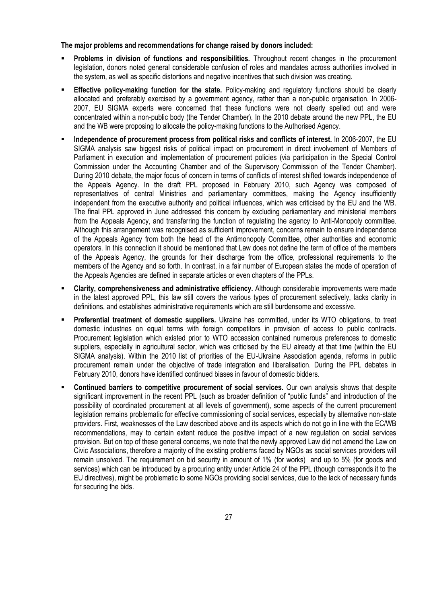#### **The major problems and recommendations for change raised by donors included:**

- **Problems in division of functions and responsibilities.** Throughout recent changes in the procurement legislation, donors noted general considerable confusion of roles and mandates across authorities involved in the system, as well as specific distortions and negative incentives that such division was creating.
- **Effective policy-making function for the state.** Policy-making and regulatory functions should be clearly allocated and preferably exercised by a government agency, rather than a non-public organisation. In 2006- 2007, EU SIGMA experts were concerned that these functions were not clearly spelled out and were concentrated within a non-public body (the Tender Chamber). In the 2010 debate around the new PPL, the EU and the WB were proposing to allocate the policy-making functions to the Authorised Agency.
- **Independence of procurement process from political risks and conflicts of interest.** In 2006-2007, the EU SIGMA analysis saw biggest risks of political impact on procurement in direct involvement of Members of Parliament in execution and implementation of procurement policies (via participation in the Special Control Commission under the Accounting Chamber and of the Supervisory Commission of the Tender Chamber). During 2010 debate, the major focus of concern in terms of conflicts of interest shifted towards independence of the Appeals Agency. In the draft PPL proposed in February 2010, such Agency was composed of representatives of central Ministries and parliamentary committees, making the Agency insufficiently independent from the executive authority and political influences, which was criticised by the EU and the WB. The final PPL approved in June addressed this concern by excluding parliamentary and ministerial members from the Appeals Agency, and transferring the function of regulating the agency to Anti-Monopoly committee. Although this arrangement was recognised as sufficient improvement, concerns remain to ensure independence of the Appeals Agency from both the head of the Antimonopoly Committee, other authorities and economic operators. In this connection it should be mentioned that Law does not define the term of office of the members of the Appeals Agency, the grounds for their discharge from the office, professional requirements to the members of the Agency and so forth. In contrast, in a fair number of European states the mode of operation of the Appeals Agencies are defined in separate articles or even chapters of the PPLs.
- **Clarity, comprehensiveness and administrative efficiency.** Although considerable improvements were made in the latest approved PPL, this law still covers the various types of procurement selectively, lacks clarity in definitions, and establishes administrative requirements which are still burdensome and excessive.
- **Preferential treatment of domestic suppliers.** Ukraine has committed, under its WTO obligations, to treat domestic industries on equal terms with foreign competitors in provision of access to public contracts. Procurement legislation which existed prior to WTO accession contained numerous preferences to domestic suppliers, especially in agricultural sector, which was criticised by the EU already at that time (within the EU SIGMA analysis). Within the 2010 list of priorities of the EU-Ukraine Association agenda, reforms in public procurement remain under the objective of trade integration and liberalisation. During the PPL debates in February 2010, donors have identified continued biases in favour of domestic bidders.
- **Continued barriers to competitive procurement of social services.** Our own analysis shows that despite significant improvement in the recent PPL (such as broader definition of "public funds" and introduction of the possibility of coordinated procurement at all levels of government), some aspects of the current procurement legislation remains problematic for effective commissioning of social services, especially by alternative non-state providers. First, weaknesses of the Law described above and its aspects which do not go in line with the EC/WB recommendations, may to certain extent reduce the positive impact of a new regulation on social services provision. But on top of these general concerns, we note that the newly approved Law did not amend the Law on Civic Associations, therefore a majority of the existing problems faced by NGOs as social services providers will remain unsolved. The requirement on bid security in amount of 1% (for works) and up to 5% (for goods and services) which can be introduced by a procuring entity under Article 24 of the PPL (though corresponds it to the EU directives), might be problematic to some NGOs providing social services, due to the lack of necessary funds for securing the bids.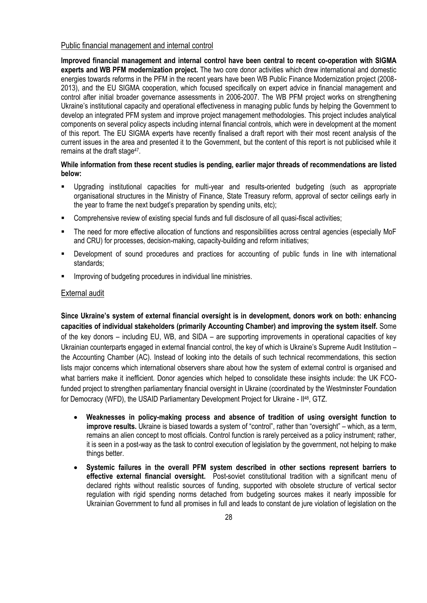#### <span id="page-27-0"></span>Public financial management and internal control

**Improved financial management and internal control have been central to recent co-operation with SIGMA experts and WB PFM modernization project.** The two core donor activities which drew international and domestic energies towards reforms in the PFM in the recent years have been WB Public Finance Modernization project (2008- 2013), and the EU SIGMA cooperation, which focused specifically on expert advice in financial management and control after initial broader governance assessments in 2006-2007. The WB PFM project works on strengthening Ukraine's institutional capacity and operational effectiveness in managing public funds by helping the Government to develop an integrated PFM system and improve project management methodologies. This project includes analytical components on several policy aspects including internal financial controls, which were in development at the moment of this report. The EU SIGMA experts have recently finalised a draft report with their most recent analysis of the current issues in the area and presented it to the Government, but the content of this report is not publicised while it remains at the draft stage<sup>47</sup>.

#### **While information from these recent studies is pending, earlier major threads of recommendations are listed below:**

- Upgrading institutional capacities for multi-year and results-oriented budgeting (such as appropriate organisational structures in the Ministry of Finance, State Treasury reform, approval of sector ceilings early in the year to frame the next budget's preparation by spending units, etc);
- Comprehensive review of existing special funds and full disclosure of all quasi-fiscal activities;
- The need for more effective allocation of functions and responsibilities across central agencies (especially MoF and CRU) for processes, decision-making, capacity-building and reform initiatives;
- Development of sound procedures and practices for accounting of public funds in line with international standards;
- Improving of budgeting procedures in individual line ministries.

#### <span id="page-27-1"></span>External audit

**Since Ukraine's system of external financial oversight is in development, donors work on both: enhancing capacities of individual stakeholders (primarily Accounting Chamber) and improving the system itself.** Some of the key donors – including EU, WB, and SIDA – are supporting improvements in operational capacities of key Ukrainian counterparts engaged in external financial control, the key of which is Ukraine's Supreme Audit Institution – the Accounting Chamber (AC). Instead of looking into the details of such technical recommendations, this section lists major concerns which international observers share about how the system of external control is organised and what barriers make it inefficient. Donor agencies which helped to consolidate these insights include: the UK FCOfunded project to strengthen parliamentary financial oversight in Ukraine (coordinated by the Westminster Foundation for Democracy (WFD), the USAID Parliamentary Development Project for Ukraine - II<sup>48</sup>, GTZ.

- **Weaknesses in policy-making process and absence of tradition of using oversight function to improve results.** Ukraine is biased towards a system of "control", rather than "oversight" – which, as a term, remains an alien concept to most officials. Control function is rarely perceived as a policy instrument; rather, it is seen in a post-way as the task to control execution of legislation by the government, not helping to make things better.
- **Systemic failures in the overall PFM system described in other sections represent barriers to effective external financial oversight.** Post-soviet constitutional tradition with a significant menu of declared rights without realistic sources of funding, supported with obsolete structure of vertical sector regulation with rigid spending norms detached from budgeting sources makes it nearly impossible for Ukrainian Government to fund all promises in full and leads to constant de jure violation of legislation on the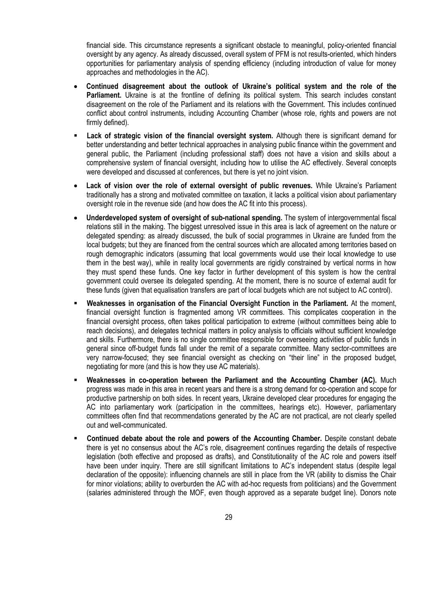financial side. This circumstance represents a significant obstacle to meaningful, policy-oriented financial oversight by any agency. As already discussed, overall system of PFM is not results-oriented, which hinders opportunities for parliamentary analysis of spending efficiency (including introduction of value for money approaches and methodologies in the AC).

- **Continued disagreement about the outlook of Ukraine's political system and the role of the Parliament.** Ukraine is at the frontline of defining its political system. This search includes constant disagreement on the role of the Parliament and its relations with the Government. This includes continued conflict about control instruments, including Accounting Chamber (whose role, rights and powers are not firmly defined).
- **Lack of strategic vision of the financial oversight system.** Although there is significant demand for better understanding and better technical approaches in analysing public finance within the government and general public, the Parliament (including professional staff) does not have a vision and skills about a comprehensive system of financial oversight, including how to utilise the AC effectively. Several concepts were developed and discussed at conferences, but there is yet no joint vision.
- **Lack of vision over the role of external oversight of public revenues.** While Ukraine's Parliament traditionally has a strong and motivated committee on taxation, it lacks a political vision about parliamentary oversight role in the revenue side (and how does the AC fit into this process).
- **Underdeveloped system of oversight of sub-national spending.** The system of intergovernmental fiscal relations still in the making. The biggest unresolved issue in this area is lack of agreement on the nature or delegated spending: as already discussed, the bulk of social programmes in Ukraine are funded from the local budgets; but they are financed from the central sources which are allocated among territories based on rough demographic indicators (assuming that local governments would use their local knowledge to use them in the best way), while in reality local governments are rigidly constrained by vertical norms in how they must spend these funds. One key factor in further development of this system is how the central government could oversee its delegated spending. At the moment, there is no source of external audit for these funds (given that equalisation transfers are part of local budgets which are not subject to AC control).
- **Weaknesses in organisation of the Financial Oversight Function in the Parliament.** At the moment, financial oversight function is fragmented among VR committees. This complicates cooperation in the financial oversight process, often takes political participation to extreme (without committees being able to reach decisions), and delegates technical matters in policy analysis to officials without sufficient knowledge and skills. Furthermore, there is no single committee responsible for overseeing activities of public funds in general since off-budget funds fall under the remit of a separate committee. Many sector-committees are very narrow-focused; they see financial oversight as checking on "their line" in the proposed budget, negotiating for more (and this is how they use AC materials).
- **Weaknesses in co-operation between the Parliament and the Accounting Chamber (AC).** Much progress was made in this area in recent years and there is a strong demand for co-operation and scope for productive partnership on both sides. In recent years, Ukraine developed clear procedures for engaging the AC into parliamentary work (participation in the committees, hearings etc). However, parliamentary committees often find that recommendations generated by the AC are not practical, are not clearly spelled out and well-communicated.
- **Continued debate about the role and powers of the Accounting Chamber.** Despite constant debate there is yet no consensus about the AC's role, disagreement continues regarding the details of respective legislation (both effective and proposed as drafts), and Constitutionality of the AC role and powers itself have been under inquiry. There are still significant limitations to AC's independent status (despite legal declaration of the opposite): influencing channels are still in place from the VR (ability to dismiss the Chair for minor violations; ability to overburden the AC with ad-hoc requests from politicians) and the Government (salaries administered through the MOF, even though approved as a separate budget line). Donors note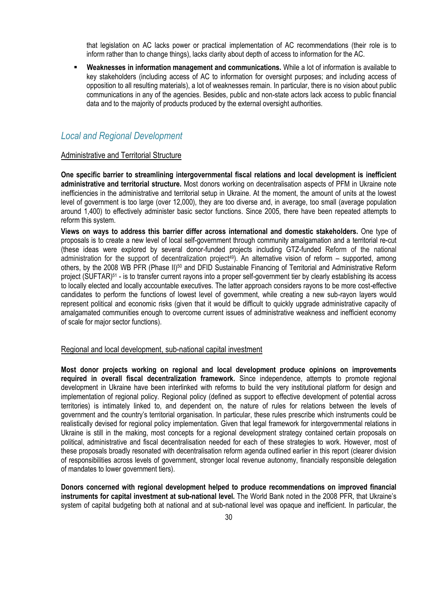that legislation on AC lacks power or practical implementation of AC recommendations (their role is to inform rather than to change things), lacks clarity about depth of access to information for the AC.

 **Weaknesses in information management and communications.** While a lot of information is available to key stakeholders (including access of AC to information for oversight purposes; and including access of opposition to all resulting materials), a lot of weaknesses remain. In particular, there is no vision about public communications in any of the agencies. Besides, public and non-state actors lack access to public financial data and to the majority of products produced by the external oversight authorities.

### <span id="page-29-0"></span>*Local and Regional Development*

#### <span id="page-29-1"></span>Administrative and Territorial Structure

**One specific barrier to streamlining intergovernmental fiscal relations and local development is inefficient administrative and territorial structure.** Most donors working on decentralisation aspects of PFM in Ukraine note inefficiencies in the administrative and territorial setup in Ukraine. At the moment, the amount of units at the lowest level of government is too large (over 12,000), they are too diverse and, in average, too small (average population around 1,400) to effectively administer basic sector functions. Since 2005, there have been repeated attempts to reform this system.

**Views on ways to address this barrier differ across international and domestic stakeholders.** One type of proposals is to create a new level of local self-government through community amalgamation and a territorial re-cut (these ideas were explored by several donor-funded projects including GTZ-funded Reform of the national administration for the support of decentralization project<sup>49</sup>). An alternative vision of reform – supported, among others, by the 2008 WB PFR (Phase II)<sup>50</sup> and DFID Sustainable Financing of Territorial and Administrative Reform project (SUFTAR)<sup>51</sup> - is to transfer current rayons into a proper self-government tier by clearly establishing its access to locally elected and locally accountable executives. The latter approach considers rayons to be more cost-effective candidates to perform the functions of lowest level of government, while creating a new sub-rayon layers would represent political and economic risks (given that it would be difficult to quickly upgrade administrative capacity of amalgamated communities enough to overcome current issues of administrative weakness and inefficient economy of scale for major sector functions).

#### <span id="page-29-2"></span>Regional and local development, sub-national capital investment

**Most donor projects working on regional and local development produce opinions on improvements required in overall fiscal decentralization framework.** Since independence, attempts to promote regional development in Ukraine have been interlinked with reforms to build the very institutional platform for design and implementation of regional policy. Regional policy (defined as support to effective development of potential across territories) is intimately linked to, and dependent on, the nature of rules for relations between the levels of government and the country's territorial organisation. In particular, these rules prescribe which instruments could be realistically devised for regional policy implementation. Given that legal framework for intergovernmental relations in Ukraine is still in the making, most concepts for a regional development strategy contained certain proposals on political, administrative and fiscal decentralisation needed for each of these strategies to work. However, most of these proposals broadly resonated with decentralisation reform agenda outlined earlier in this report (clearer division of responsibilities across levels of government, stronger local revenue autonomy, financially responsible delegation of mandates to lower government tiers).

**Donors concerned with regional development helped to produce recommendations on improved financial instruments for capital investment at sub-national level.** The World Bank noted in the 2008 PFR, that Ukraine's system of capital budgeting both at national and at sub-national level was opaque and inefficient. In particular, the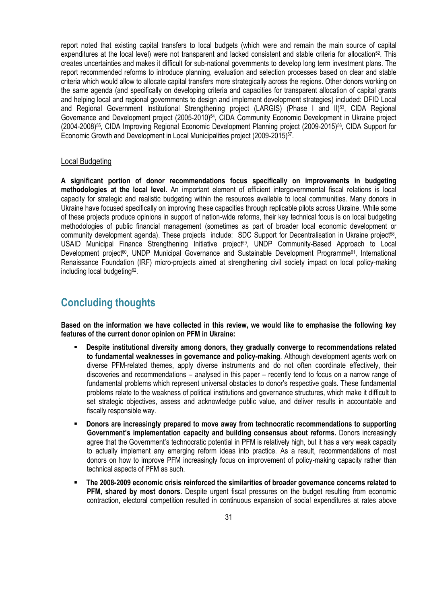report noted that existing capital transfers to local budgets (which were and remain the main source of capital expenditures at the local level) were not transparent and lacked consistent and stable criteria for allocation52. This creates uncertainties and makes it difficult for sub-national governments to develop long term investment plans. The report recommended reforms to introduce planning, evaluation and selection processes based on clear and stable criteria which would allow to allocate capital transfers more strategically across the regions. Other donors working on the same agenda (and specifically on developing criteria and capacities for transparent allocation of capital grants and helping local and regional governments to design and implement development strategies) included: DFID Local and Regional Government Institutional Strengthening project (LARGIS) (Phase I and II)<sup>53</sup>, CIDA Regional Governance and Development project (2005-2010)<sup>54</sup>, CIDA Community Economic Development in Ukraine project (2004-2008)<sup>55</sup>, CIDA Improving Regional Economic Development Planning project (2009-2015)<sup>56</sup>, CIDA Support for Economic Growth and Development in Local Municipalities project (2009-2015)<sup>57</sup>.

#### <span id="page-30-0"></span>Local Budgeting

**A significant portion of donor recommendations focus specifically on improvements in budgeting methodologies at the local level.** An important element of efficient intergovernmental fiscal relations is local capacity for strategic and realistic budgeting within the resources available to local communities. Many donors in Ukraine have focused specifically on improving these capacities through replicable pilots across Ukraine. While some of these projects produce opinions in support of nation-wide reforms, their key technical focus is on local budgeting methodologies of public financial management (sometimes as part of broader local economic development or community development agenda). These projects include: SDC Support for Decentralisation in Ukraine project<sup>58</sup>, USAID Municipal Finance Strengthening Initiative project<sup>59</sup>, UNDP Community-Based Approach to Local Development project<sup>60</sup>, UNDP Municipal Governance and Sustainable Development Programme<sup>61</sup>, International Renaissance Foundation (IRF) micro-projects aimed at strengthening civil society impact on local policy-making including local budgeting<sup>62</sup>.

# <span id="page-30-1"></span>**Concluding thoughts**

**Based on the information we have collected in this review, we would like to emphasise the following key features of the current donor opinion on PFM in Ukraine:**

- **Despite institutional diversity among donors, they gradually converge to recommendations related to fundamental weaknesses in governance and policy-making**. Although development agents work on diverse PFM-related themes, apply diverse instruments and do not often coordinate effectively, their discoveries and recommendations – analysed in this paper – recently tend to focus on a narrow range of fundamental problems which represent universal obstacles to donor's respective goals. These fundamental problems relate to the weakness of political institutions and governance structures, which make it difficult to set strategic objectives, assess and acknowledge public value, and deliver results in accountable and fiscally responsible way.
- **Donors are increasingly prepared to move away from technocratic recommendations to supporting Government's implementation capacity and building consensus about reforms.** Donors increasingly agree that the Government's technocratic potential in PFM is relatively high, but it has a very weak capacity to actually implement any emerging reform ideas into practice. As a result, recommendations of most donors on how to improve PFM increasingly focus on improvement of policy-making capacity rather than technical aspects of PFM as such.
- **The 2008-2009 economic crisis reinforced the similarities of broader governance concerns related to PFM, shared by most donors.** Despite urgent fiscal pressures on the budget resulting from economic contraction, electoral competition resulted in continuous expansion of social expenditures at rates above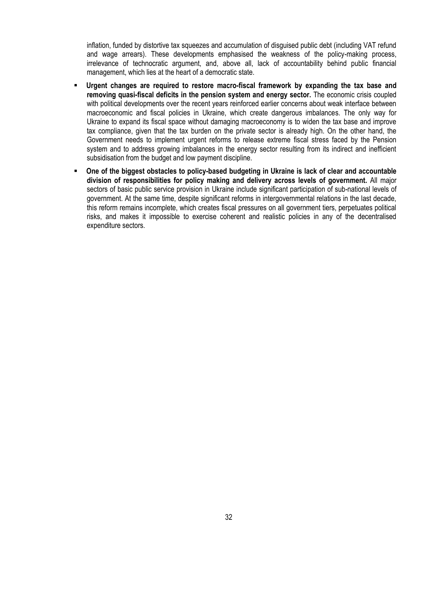inflation, funded by distortive tax squeezes and accumulation of disguised public debt (including VAT refund and wage arrears). These developments emphasised the weakness of the policy-making process, irrelevance of technocratic argument, and, above all, lack of accountability behind public financial management, which lies at the heart of a democratic state.

- **Urgent changes are required to restore macro-fiscal framework by expanding the tax base and removing quasi-fiscal deficits in the pension system and energy sector.** The economic crisis coupled with political developments over the recent years reinforced earlier concerns about weak interface between macroeconomic and fiscal policies in Ukraine, which create dangerous imbalances. The only way for Ukraine to expand its fiscal space without damaging macroeconomy is to widen the tax base and improve tax compliance, given that the tax burden on the private sector is already high. On the other hand, the Government needs to implement urgent reforms to release extreme fiscal stress faced by the Pension system and to address growing imbalances in the energy sector resulting from its indirect and inefficient subsidisation from the budget and low payment discipline.
- **One of the biggest obstacles to policy-based budgeting in Ukraine is lack of clear and accountable division of responsibilities for policy making and delivery across levels of government.** All major sectors of basic public service provision in Ukraine include significant participation of sub-national levels of government. At the same time, despite significant reforms in intergovernmental relations in the last decade, this reform remains incomplete, which creates fiscal pressures on all government tiers, perpetuates political risks, and makes it impossible to exercise coherent and realistic policies in any of the decentralised expenditure sectors.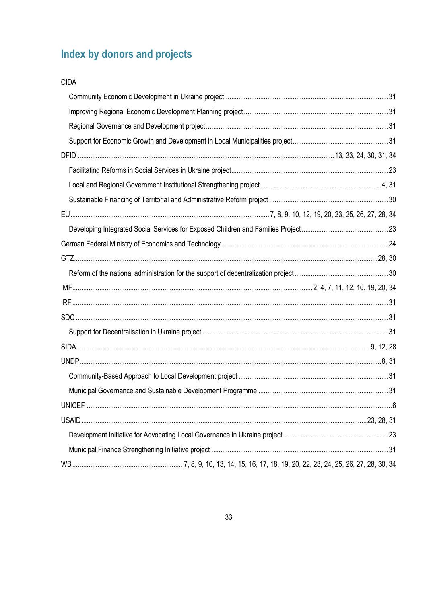# <span id="page-32-0"></span>Index by donors and projects

| <b>CIDA</b> |  |
|-------------|--|
|             |  |
|             |  |
|             |  |
|             |  |
|             |  |
|             |  |
|             |  |
|             |  |
|             |  |
|             |  |
|             |  |
|             |  |
|             |  |
|             |  |
|             |  |
|             |  |
|             |  |
|             |  |
|             |  |
|             |  |
|             |  |
|             |  |
|             |  |
|             |  |
|             |  |
|             |  |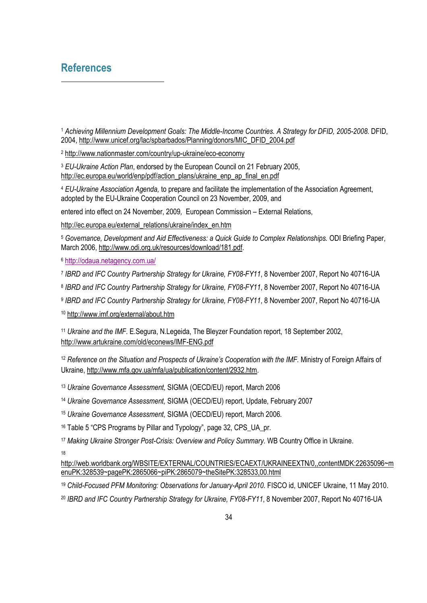## <span id="page-33-0"></span>**References**

 *Achieving Millennium Development Goals: The Middle-Income Countries. A Strategy for DFID, 2005-2008.* DFID, 2004, [http://www.unicef.org/lac/spbarbados/Planning/donors/MIC\\_DFID\\_2004.pdf](http://www.unicef.org/lac/spbarbados/Planning/donors/MIC_DFID_2004.pdf)

<http://www.nationmaster.com/country/up-ukraine/eco-economy>

 *EU-Ukraine Action Plan*, endorsed by the European Council on 21 February 2005, [http://ec.europa.eu/world/enp/pdf/action\\_plans/ukraine\\_enp\\_ap\\_final\\_en.pdf](http://ec.europa.eu/world/enp/pdf/action_plans/ukraine_enp_ap_final_en.pdf)

 *EU-Ukraine Association Agenda,* to prepare and facilitate the implementation of the Association Agreement, adopted by the EU-Ukraine Cooperation Council on 23 November, 2009, and

entered into effect on 24 November, 2009*,* European Commission – External Relations,

[http://ec.europa.eu/external\\_relations/ukraine/index\\_en.htm](http://ec.europa.eu/external_relations/ukraine/index_en.htm)

 *Governance, Development and Aid Effectiveness: a Quick Guide to Complex Relationships.* ODI Briefing Paper, March 2006[, http://www.odi.org.uk/resources/download/181.pdf.](http://www.odi.org.uk/resources/download/181.pdf)

<http://odaua.netagency.com.ua/>

*IBRD and IFC Country Partnership Strategy for Ukraine, FY08-FY11*, 8 November 2007, Report No 40716-UA

*IBRD and IFC Country Partnership Strategy for Ukraine, FY08-FY11*, 8 November 2007, Report No 40716-UA

*IBRD and IFC Country Partnership Strategy for Ukraine, FY08-FY11*, 8 November 2007, Report No 40716-UA

<http://www.imf.org/external/about.htm>

 *Ukraine and the IMF*. E.Segura, N.Legeida, The Bleyzer Foundation report, 18 September 2002, <http://www.artukraine.com/old/econews/IMF-ENG.pdf>

 *Reference on the Situation and Prospects of Ukraine's Cooperation with the IMF.* Ministry of Foreign Affairs of Ukraine, [http://www.mfa.gov.ua/mfa/ua/publication/content/2932.htm.](http://www.mfa.gov.ua/mfa/ua/publication/content/2932.htm)

*Ukraine Governance Assessment,* SIGMA (OECD/EU) report, March 2006

*Ukraine Governance Assessment,* SIGMA (OECD/EU) report, Update, February 2007

*Ukraine Governance Assessment,* SIGMA (OECD/EU) report, March 2006*.*

<sup>16</sup> Table 5 "CPS Programs by Pillar and Typology", page 32, CPS UA pr.

*Making Ukraine Stronger Post-Crisis: Overview and Policy Summary.* WB Country Office in Ukraine.

[http://web.worldbank.org/WBSITE/EXTERNAL/COUNTRIES/ECAEXT/UKRAINEEXTN/0,,contentMDK:22635096~m](http://web.worldbank.org/WBSITE/EXTERNAL/COUNTRIES/ECAEXT/UKRAINEEXTN/0,,contentMDK:22635096~menuPK:328539~pagePK:2865066~piPK:2865079~theSitePK:328533,00.html) [enuPK:328539~pagePK:2865066~piPK:2865079~theSitePK:328533,00.html](http://web.worldbank.org/WBSITE/EXTERNAL/COUNTRIES/ECAEXT/UKRAINEEXTN/0,,contentMDK:22635096~menuPK:328539~pagePK:2865066~piPK:2865079~theSitePK:328533,00.html)

<sup>19</sup> Child-Focused PFM Monitoring: Observations for January-April 2010. FISCO id, UNICEF Ukraine, 11 May 2010.

*IBRD and IFC Country Partnership Strategy for Ukraine, FY08-FY11*, 8 November 2007, Report No 40716-UA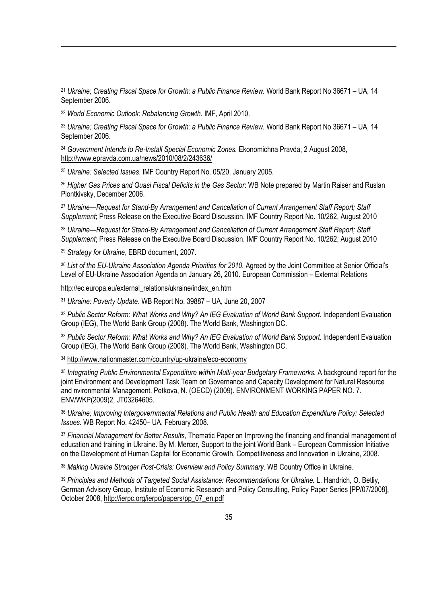<sup>21</sup> *Ukraine; Creating Fiscal Space for Growth: a Public Finance Review.* World Bank Report No 36671 – UA, 14 September 2006.

<sup>22</sup> *World Economic Outlook: Rebalancing Growth*. IMF, April 2010.

1

<sup>23</sup> *Ukraine; Creating Fiscal Space for Growth: a Public Finance Review.* World Bank Report No 36671 – UA, 14 September 2006.

<sup>24</sup> *Government Intends to Re-Install Special Economic Zones.* Ekonomichna Pravda, 2 August 2008, <http://www.epravda.com.ua/news/2010/08/2/243636/>

<sup>25</sup> *Ukraine: Selected Issues*. IMF Country Report No. 05/20. January 2005.

<sup>26</sup> *Higher Gas Prices and Quasi Fiscal Deficits in the Gas Sector*: WB Note prepared by Martin Raiser and Ruslan Piontkivsky, December 2006.

<sup>27</sup> *Ukraine—Request for Stand-By Arrangement and Cancellation of Current Arrangement Staff Report; Staff Supplement*; Press Release on the Executive Board Discussion. IMF Country Report No. 10/262, August 2010

<sup>28</sup> *Ukraine—Request for Stand-By Arrangement and Cancellation of Current Arrangement Staff Report; Staff Supplement*; Press Release on the Executive Board Discussion. IMF Country Report No. 10/262, August 2010

<sup>29</sup> *Strategy for Ukraine*, EBRD document, 2007.

<sup>30</sup> List of the EU-Ukraine Association Agenda Priorities for 2010. Agreed by the Joint Committee at Senior Official's Level of EU-Ukraine Association Agenda on January 26, 2010*.* European Commission – External Relations

http://ec.europa.eu/external\_relations/ukraine/index\_en.htm

<sup>31</sup> *Ukraine: Poverty Update*. WB Report No. 39887 – UA, June 20, 2007

<sup>32</sup> *Public Sector Reform: What Works and Why? An IEG Evaluation of World Bank Support.* Independent Evaluation Group (IEG), The World Bank Group (2008). The World Bank, Washington DC.

<sup>33</sup> *Public Sector Reform: What Works and Why? An IEG Evaluation of World Bank Support.* Independent Evaluation Group (IEG), The World Bank Group (2008). The World Bank, Washington DC.

<sup>34</sup> <http://www.nationmaster.com/country/up-ukraine/eco-economy>

<sup>35</sup> Integrating Public Environmental Expenditure within Multi-year Budgetary Frameworks. A background report for the joint Environment and Development Task Team on Governance and Capacity Development for Natural Resource and nvironmental Management. Petkova, N. (OECD) (2009). ENVIRONMENT WORKING PAPER NO. 7. ENV/WKP(2009)2, JT03264605.

<sup>36</sup> *Ukraine; Improving Intergovernmental Relations and Public Health and Education Expenditure Policy: Selected Issues*. WB Report No. 42450– UA, February 2008.

<sup>37</sup> *Financial Management for Better Results,* Thematic Paper on Improving the financing and financial management of education and training in Ukraine. By M. Mercer, Support to the joint World Bank – European Commission Initiative on the Development of Human Capital for Economic Growth, Competitiveness and Innovation in Ukraine, 2008.

<sup>38</sup> *Making Ukraine Stronger Post-Crisis: Overview and Policy Summary.* WB Country Office in Ukraine.

<sup>39</sup> *Principles and Methods of Targeted Social Assistance: Recommendations for Ukraine.* L. Handrich, O. Betliy, German Advisory Group, Institute of Economic Research and Policy Consulting, Policy Paper Series [PP/07/2008], October 2008[, http://ierpc.org/ierpc/papers/pp\\_07\\_en.pdf](http://ierpc.org/ierpc/papers/pp_07_en.pdf)